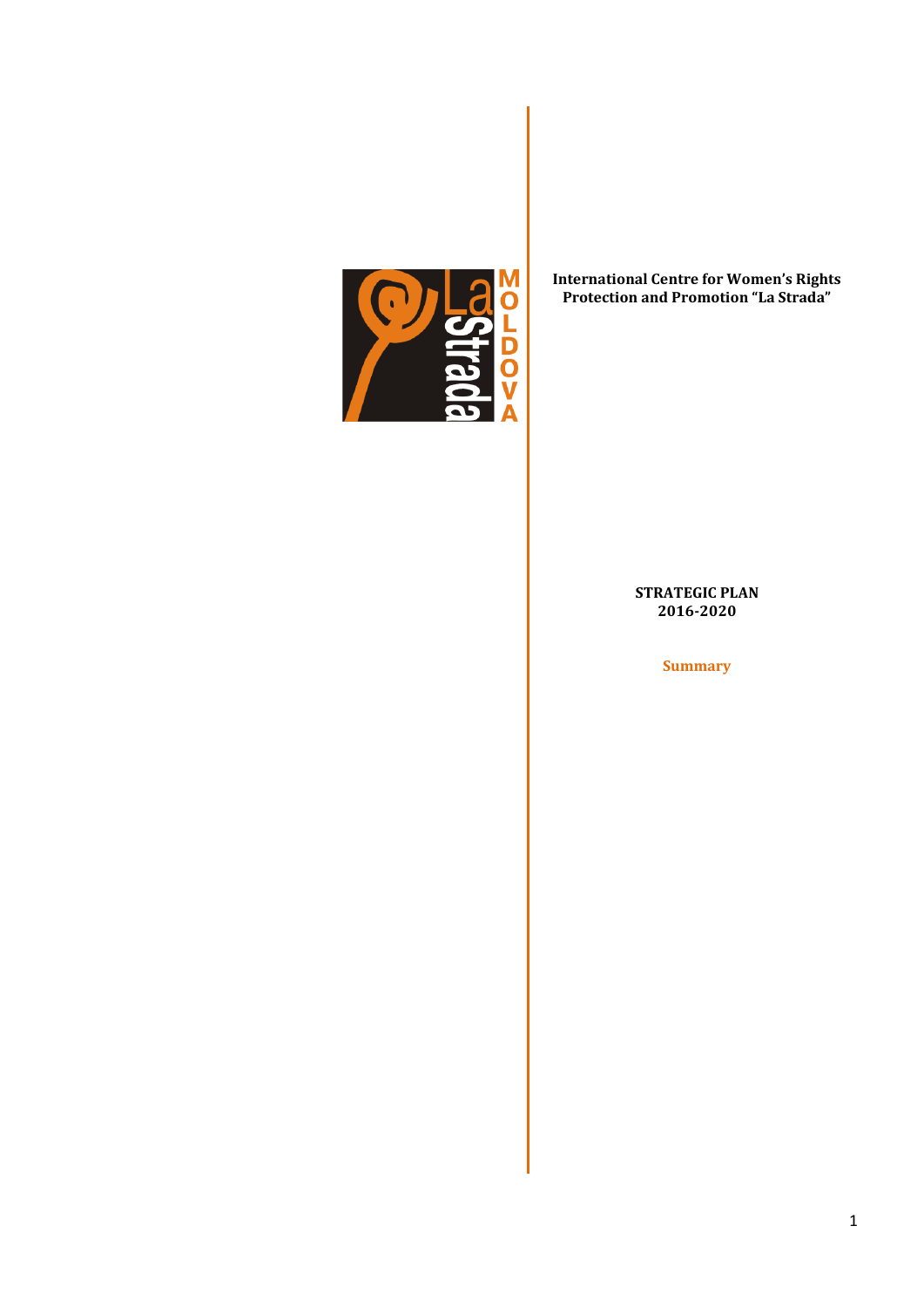

## **International Centre for Women's Rights Protection and Promotion "La Strada"**

## **STRATEGIC PLAN 2016-2020**

**Summary**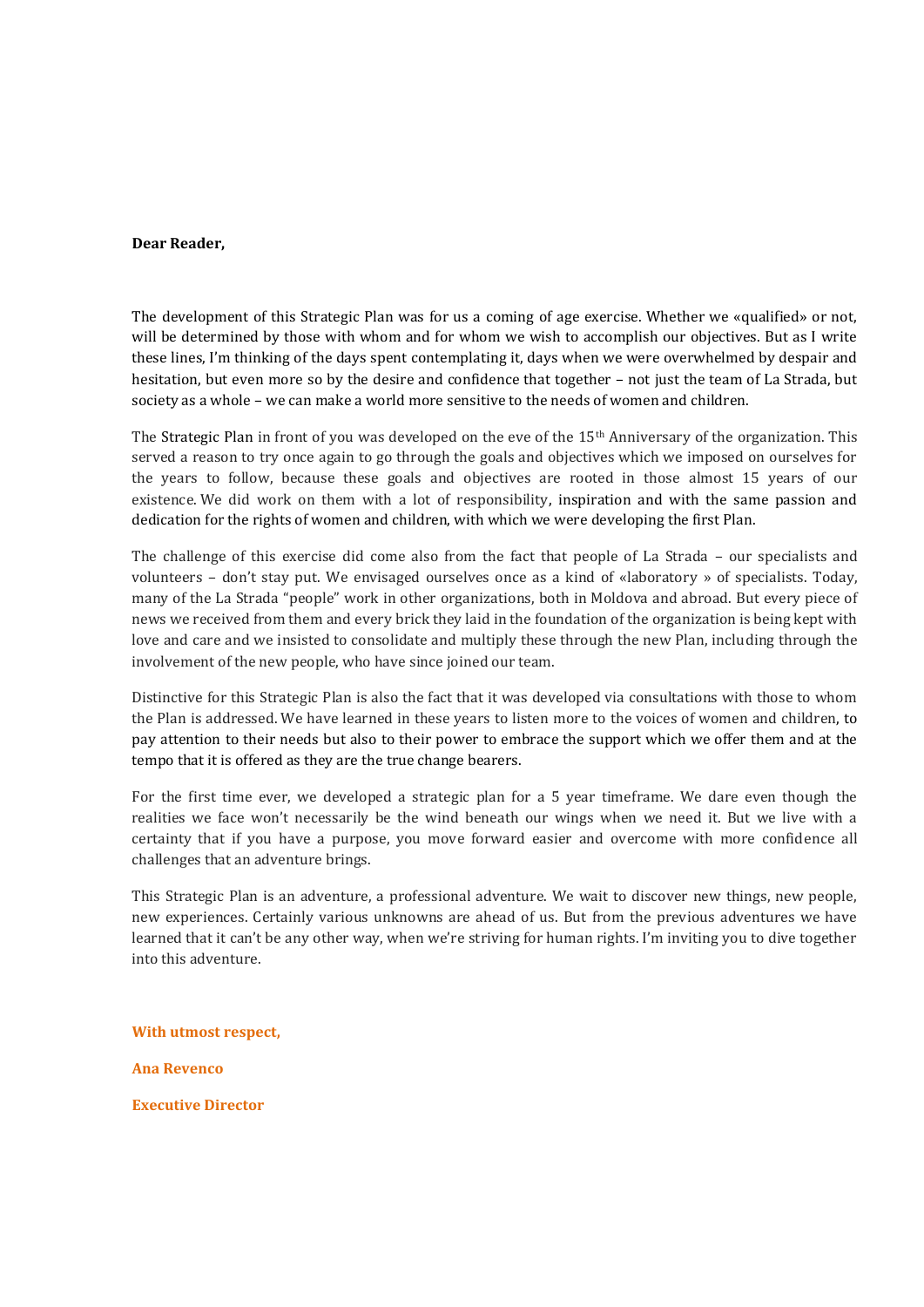#### **Dear Reader,**

The development of this Strategic Plan was for us a coming of age exercise. Whether we «qualified» or not, will be determined by those with whom and for whom we wish to accomplish our objectives. But as I write these lines, I'm thinking of the days spent contemplating it, days when we were overwhelmed by despair and hesitation, but even more so by the desire and confidence that together – not just the team of La Strada, but society as a whole – we can make a world more sensitive to the needs of women and children.

The Strategic Plan in front of you was developed on the eve of the 15th Anniversary of the organization. This served a reason to try once again to go through the goals and objectives which we imposed on ourselves for the years to follow, because these goals and objectives are rooted in those almost 15 years of our existence. We did work on them with a lot of responsibility, inspiration and with the same passion and dedication for the rights of women and children, with which we were developing the first Plan.

The challenge of this exercise did come also from the fact that people of La Strada – our specialists and volunteers – don't stay put. We envisaged ourselves once as a kind of «laboratory » of specialists. Today, many of the La Strada "people" work in other organizations, both in Moldova and abroad. But every piece of news we received from them and every brick they laid in the foundation of the organization is being kept with love and care and we insisted to consolidate and multiply these through the new Plan, including through the involvement of the new people, who have since joined our team.

Distinctive for this Strategic Plan is also the fact that it was developed via consultations with those to whom the Plan is addressed. We have learned in these years to listen more to the voices of women and children, to pay attention to their needs but also to their power to embrace the support which we offer them and at the tempo that it is offered as they are the true change bearers.

For the first time ever, we developed a strategic plan for a 5 year timeframe. We dare even though the realities we face won't necessarily be the wind beneath our wings when we need it. But we live with a certainty that if you have a purpose, you move forward easier and overcome with more confidence all challenges that an adventure brings.

This Strategic Plan is an adventure, a professional adventure. We wait to discover new things, new people, new experiences. Certainly various unknowns are ahead of us. But from the previous adventures we have learned that it can't be any other way, when we're striving for human rights. I'm inviting you to dive together into this adventure.

**With utmost respect,**

**Ana Revenco**

**Executive Director**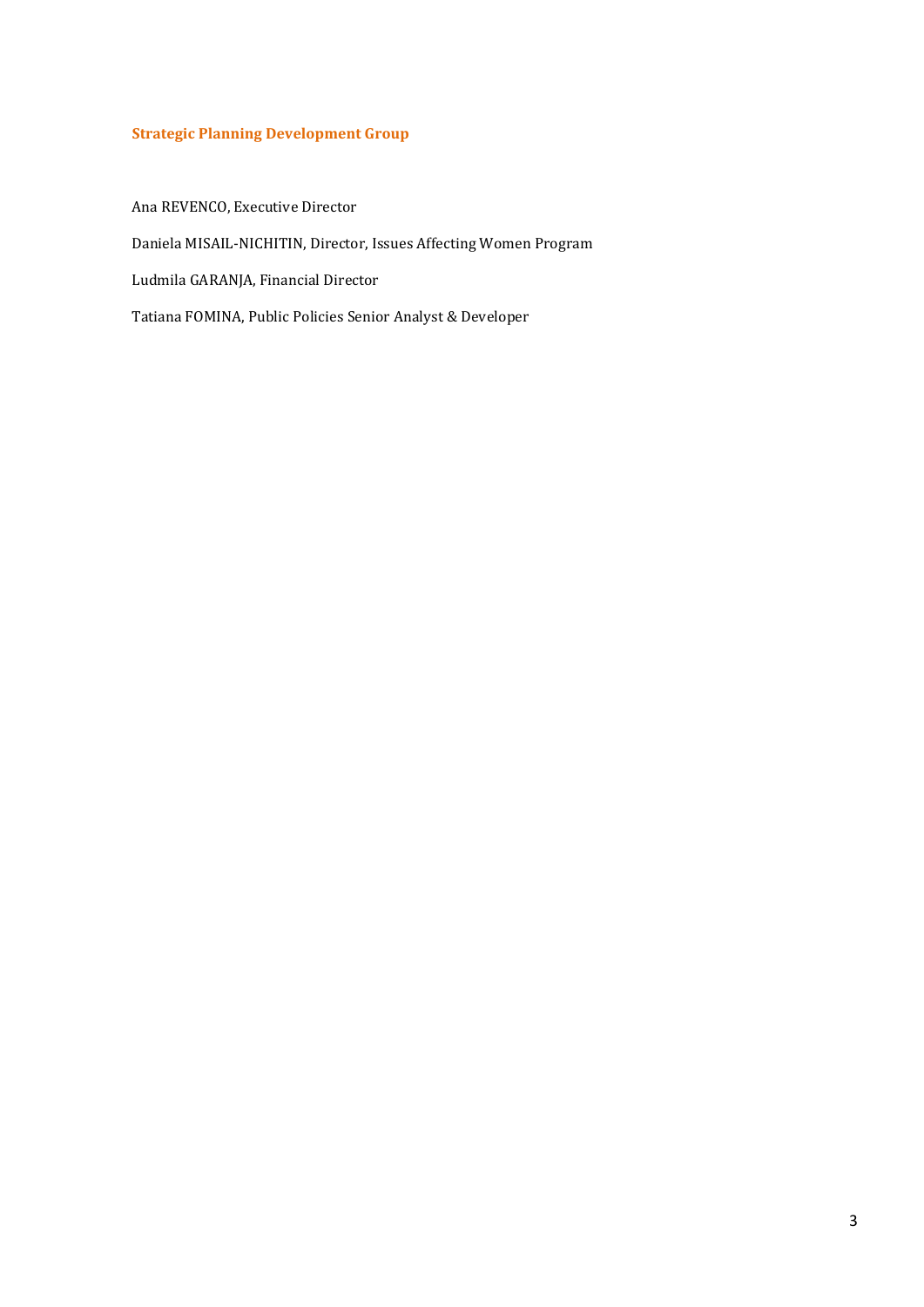## **Strategic Planning Development Group**

Ana REVENCO, Executive Director

Daniela MISAIL-NICHITIN, Director, Issues Affecting Women Program

Ludmila GARANJA, Financial Director

Tatiana FOMINA, Public Policies Senior Analyst & Developer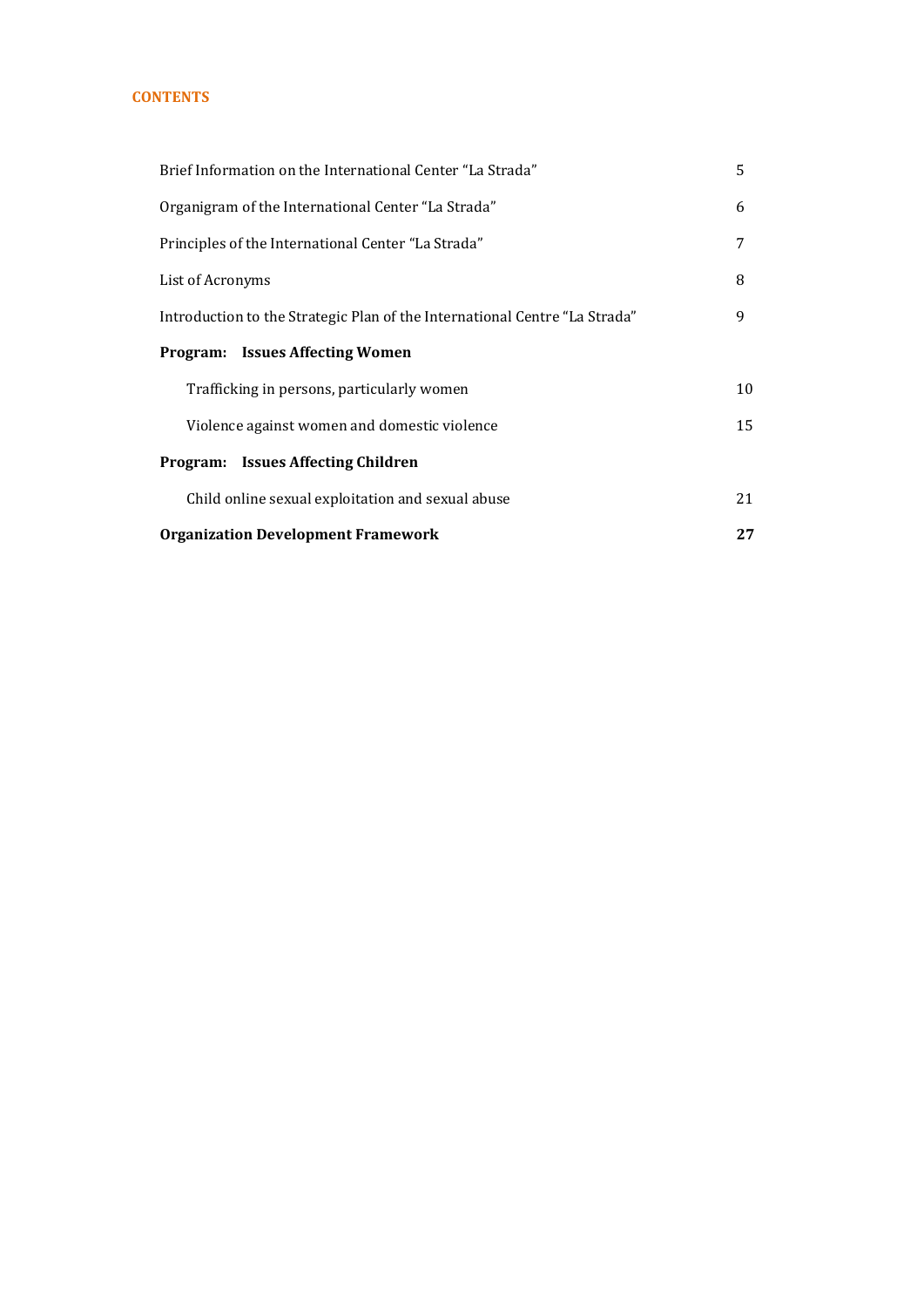## **CONTENTS**

| Brief Information on the International Center "La Strada"                  | 5  |  |
|----------------------------------------------------------------------------|----|--|
| Organigram of the International Center "La Strada"<br>6                    |    |  |
| 7<br>Principles of the International Center "La Strada"                    |    |  |
| 8<br>List of Acronyms                                                      |    |  |
| Introduction to the Strategic Plan of the International Centre "La Strada" | 9  |  |
| <b>Program: Issues Affecting Women</b>                                     |    |  |
| Trafficking in persons, particularly women                                 | 10 |  |
| Violence against women and domestic violence                               | 15 |  |
| <b>Program:</b> Issues Affecting Children                                  |    |  |
| Child online sexual exploitation and sexual abuse                          | 21 |  |
| <b>Organization Development Framework</b><br>27                            |    |  |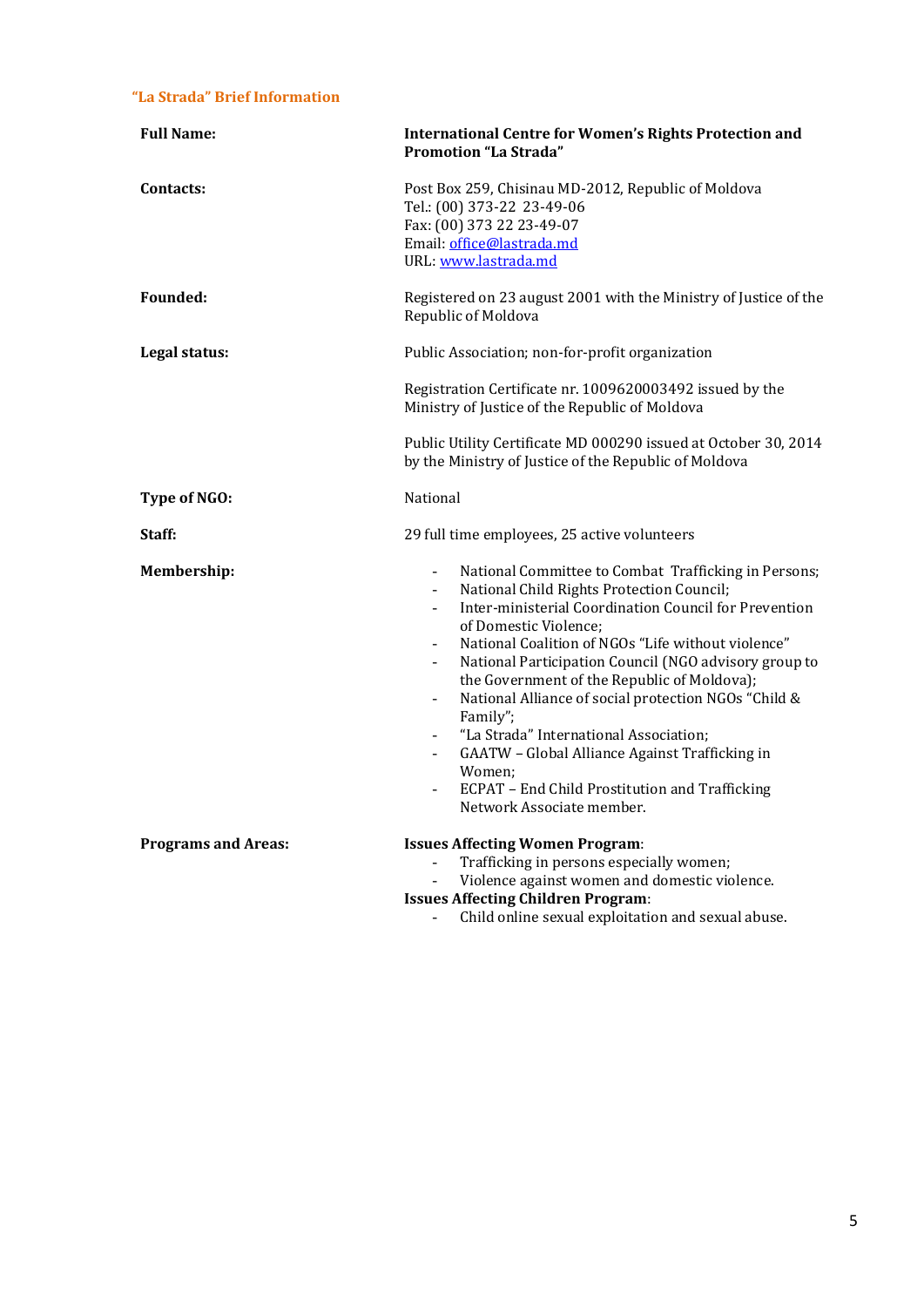## **"La Strada" Brief Information**

| <b>Full Name:</b>          | <b>International Centre for Women's Rights Protection and</b><br><b>Promotion "La Strada"</b>                                                                                                                                                                                                                                                                                                                                                                                                                                                                                                                                                                                                  |  |
|----------------------------|------------------------------------------------------------------------------------------------------------------------------------------------------------------------------------------------------------------------------------------------------------------------------------------------------------------------------------------------------------------------------------------------------------------------------------------------------------------------------------------------------------------------------------------------------------------------------------------------------------------------------------------------------------------------------------------------|--|
| Contacts:                  | Post Box 259, Chisinau MD-2012, Republic of Moldova<br>Tel.: (00) 373-22 23-49-06<br>Fax: (00) 373 22 23-49-07<br>Email: office@lastrada.md<br>URL: www.lastrada.md                                                                                                                                                                                                                                                                                                                                                                                                                                                                                                                            |  |
| <b>Founded:</b>            | Registered on 23 august 2001 with the Ministry of Justice of the<br>Republic of Moldova                                                                                                                                                                                                                                                                                                                                                                                                                                                                                                                                                                                                        |  |
| Legal status:              | Public Association; non-for-profit organization                                                                                                                                                                                                                                                                                                                                                                                                                                                                                                                                                                                                                                                |  |
|                            | Registration Certificate nr. 1009620003492 issued by the<br>Ministry of Justice of the Republic of Moldova                                                                                                                                                                                                                                                                                                                                                                                                                                                                                                                                                                                     |  |
|                            | Public Utility Certificate MD 000290 issued at October 30, 2014<br>by the Ministry of Justice of the Republic of Moldova                                                                                                                                                                                                                                                                                                                                                                                                                                                                                                                                                                       |  |
| Type of NGO:               | National                                                                                                                                                                                                                                                                                                                                                                                                                                                                                                                                                                                                                                                                                       |  |
| Staff:                     | 29 full time employees, 25 active volunteers                                                                                                                                                                                                                                                                                                                                                                                                                                                                                                                                                                                                                                                   |  |
| Membership:                | National Committee to Combat Trafficking in Persons;<br>National Child Rights Protection Council;<br>$\overline{\phantom{a}}$<br>Inter-ministerial Coordination Council for Prevention<br>of Domestic Violence:<br>National Coalition of NGOs "Life without violence"<br>$\overline{\phantom{a}}$<br>National Participation Council (NGO advisory group to<br>the Government of the Republic of Moldova);<br>National Alliance of social protection NGOs "Child &<br>$\overline{\phantom{a}}$<br>Family";<br>"La Strada" International Association;<br>GAATW - Global Alliance Against Trafficking in<br>Women;<br>ECPAT - End Child Prostitution and Trafficking<br>Network Associate member. |  |
| <b>Programs and Areas:</b> | <b>Issues Affecting Women Program:</b><br>Trafficking in persons especially women;<br>Violence against women and domestic violence.<br><b>Issues Affecting Children Program:</b><br>Child online sexual exploitation and sexual abuse.                                                                                                                                                                                                                                                                                                                                                                                                                                                         |  |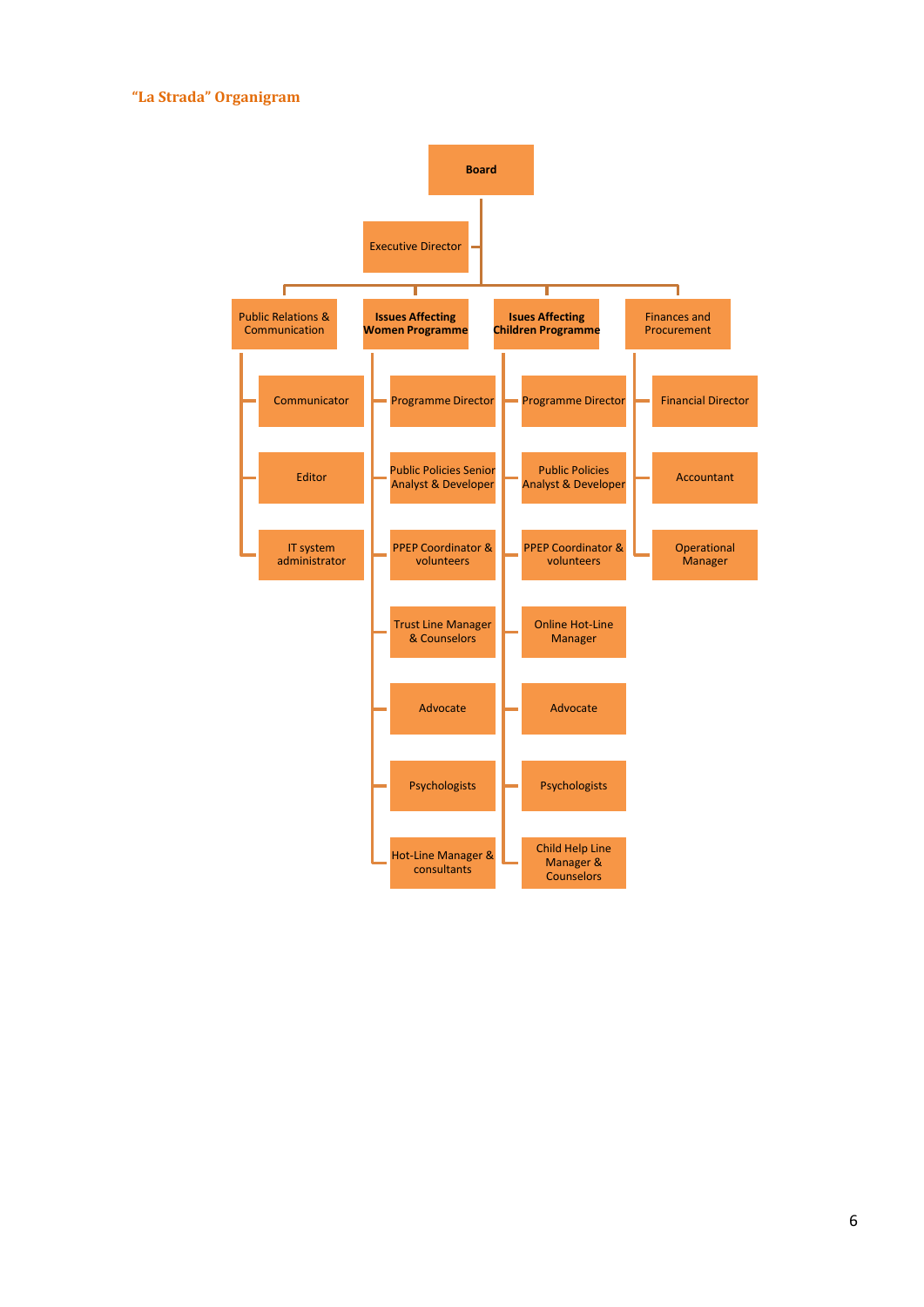## **"La Strada" Organigram**

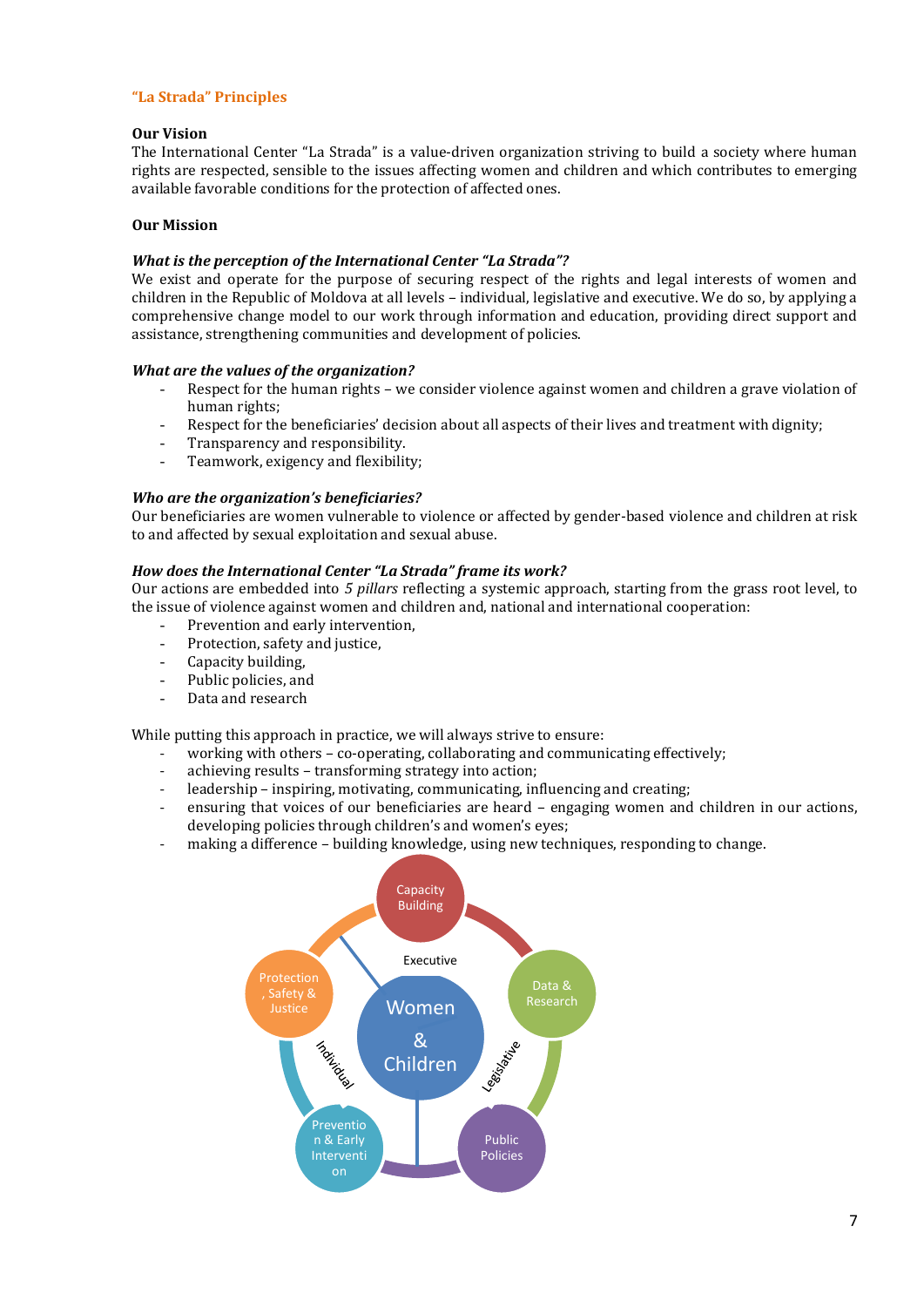## **"La Strada" Principles**

#### **Our Vision**

The International Center "La Strada" is a value-driven organization striving to build a society where human rights are respected, sensible to the issues affecting women and children and which contributes to emerging available favorable conditions for the protection of affected ones.

## **Our Mission**

#### *What is the perception of the International Center "La Strada"?*

We exist and operate for the purpose of securing respect of the rights and legal interests of women and children in the Republic of Moldova at all levels – individual, legislative and executive. We do so, by applying a comprehensive change model to our work through information and education, providing direct support and assistance, strengthening communities and development of policies.

## *What are the values of the organization?*

- Respect for the human rights we consider violence against women and children a grave violation of human rights;
- Respect for the beneficiaries' decision about all aspects of their lives and treatment with dignity;
- Transparency and responsibility.
- Teamwork, exigency and flexibility;

#### *Who are the organization's beneficiaries?*

Our beneficiaries are women vulnerable to violence or affected by gender-based violence and children at risk to and affected by sexual exploitation and sexual abuse.

## *How does the International Center "La Strada" frame its work?*

Our actions are embedded into *5 pillars* reflecting a systemic approach, starting from the grass root level, to the issue of violence against women and children and, national and international cooperation:

- Prevention and early intervention,
- Protection, safety and justice.
- Capacity building,
- Public policies, and
- Data and research

While putting this approach in practice, we will always strive to ensure:

- working with others co-operating, collaborating and communicating effectively;
- achieving results transforming strategy into action;
- leadership inspiring, motivating, communicating, influencing and creating;
- ensuring that voices of our beneficiaries are heard engaging women and children in our actions, developing policies through children's and women's eyes;
- making a difference building knowledge, using new techniques, responding to change.

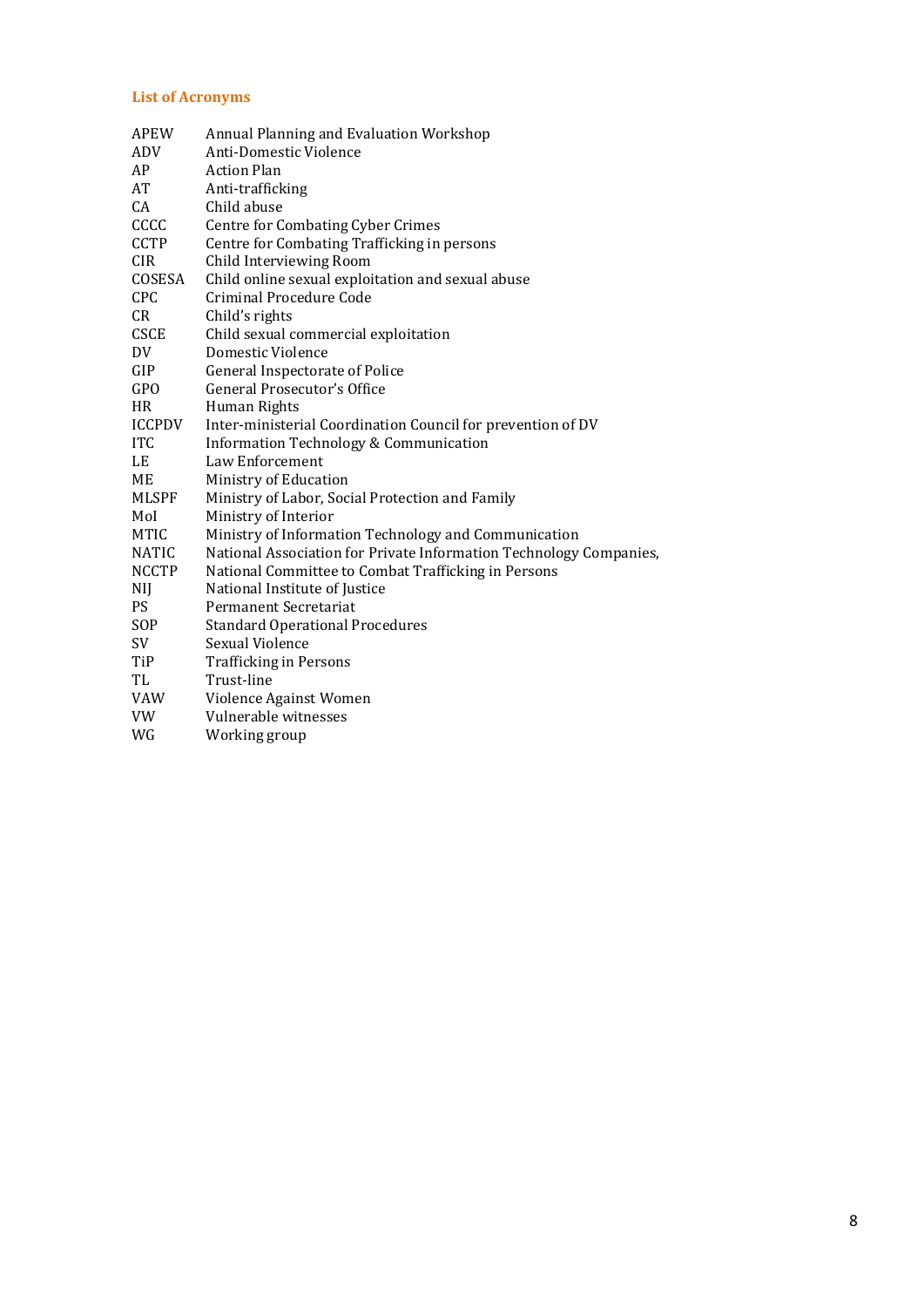## **List of Acronyms**

| <b>APEW</b>   | Annual Planning and Evaluation Workshop                            |
|---------------|--------------------------------------------------------------------|
| ADV           | Anti-Domestic Violence                                             |
| AP            | <b>Action Plan</b>                                                 |
| AT            | Anti-trafficking                                                   |
| CA            | Child abuse                                                        |
| CCCC          | <b>Centre for Combating Cyber Crimes</b>                           |
| <b>CCTP</b>   | Centre for Combating Trafficking in persons                        |
| <b>CIR</b>    | Child Interviewing Room                                            |
| COSESA        | Child online sexual exploitation and sexual abuse                  |
| CPC           | Criminal Procedure Code                                            |
| CR            | Child's rights                                                     |
| <b>CSCE</b>   | Child sexual commercial exploitation                               |
| DV            | Domestic Violence                                                  |
| GIP           | General Inspectorate of Police                                     |
| GPO           | General Prosecutor's Office                                        |
| <b>HR</b>     | Human Rights                                                       |
| <b>ICCPDV</b> | Inter-ministerial Coordination Council for prevention of DV        |
| <b>ITC</b>    | Information Technology & Communication                             |
| LE            | Law Enforcement                                                    |
| ME            | Ministry of Education                                              |
| <b>MLSPF</b>  | Ministry of Labor, Social Protection and Family                    |
| Mol           | Ministry of Interior                                               |
| <b>MTIC</b>   | Ministry of Information Technology and Communication               |
| NATIC         | National Association for Private Information Technology Companies, |
| <b>NCCTP</b>  | National Committee to Combat Trafficking in Persons                |
| NIJ           | National Institute of Justice                                      |
| <b>PS</b>     | Permanent Secretariat                                              |
| SOP           | <b>Standard Operational Procedures</b>                             |
| SV            | Sexual Violence                                                    |
| TiP           | <b>Trafficking in Persons</b>                                      |
| TL            | Trust-line                                                         |
| VAW           | Violence Against Women                                             |
| VW            | Vulnerable witnesses                                               |
| WG            | Working group                                                      |
|               |                                                                    |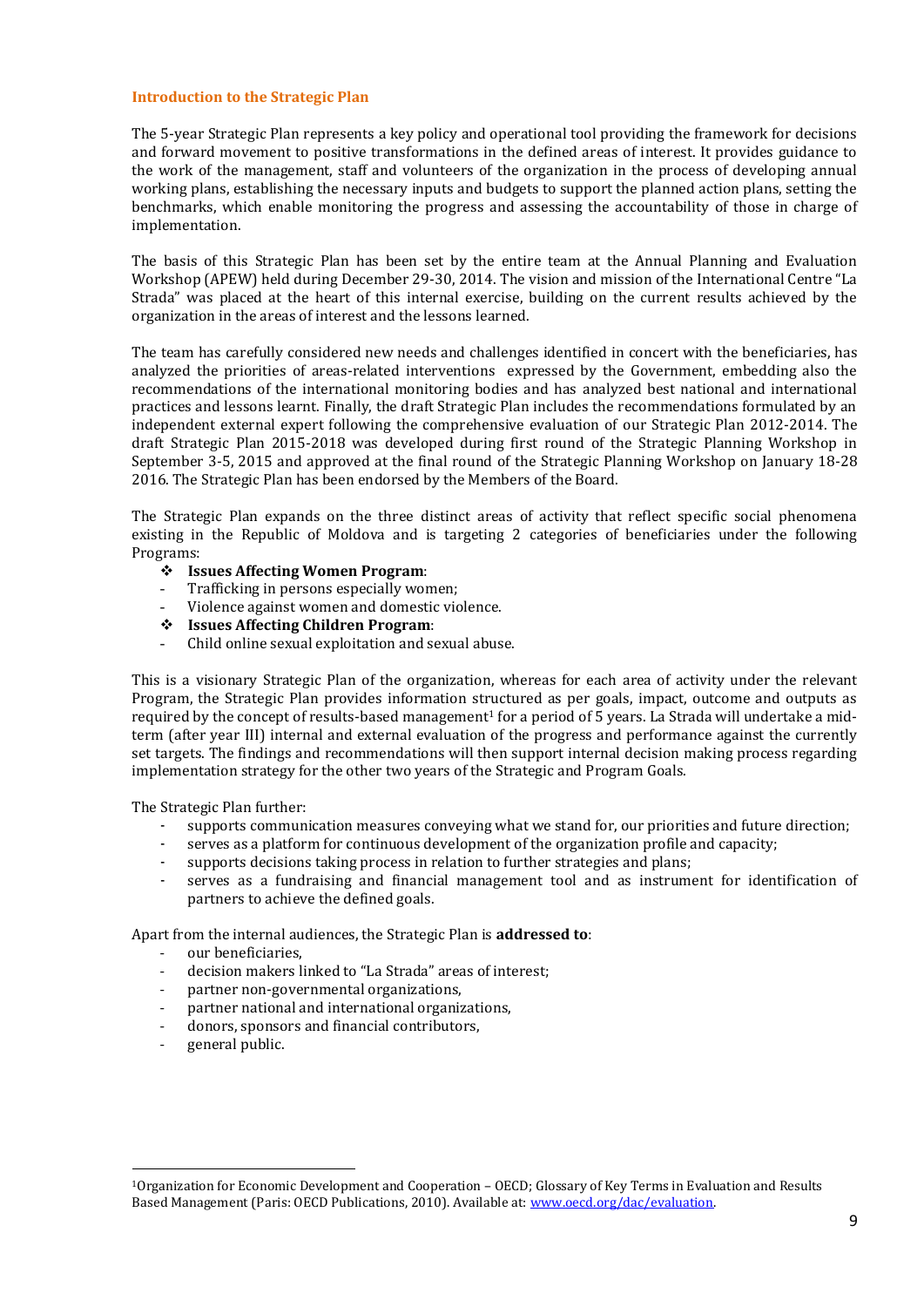#### **Introduction to the Strategic Plan**

The 5-year Strategic Plan represents a key policy and operational tool providing the framework for decisions and forward movement to positive transformations in the defined areas of interest. It provides guidance to the work of the management, staff and volunteers of the organization in the process of developing annual working plans, establishing the necessary inputs and budgets to support the planned action plans, setting the benchmarks, which enable monitoring the progress and assessing the accountability of those in charge of implementation.

The basis of this Strategic Plan has been set by the entire team at the Annual Planning and Evaluation Workshop (APEW) held during December 29-30, 2014. The vision and mission of the International Centre "La Strada" was placed at the heart of this internal exercise, building on the current results achieved by the organization in the areas of interest and the lessons learned.

The team has carefully considered new needs and challenges identified in concert with the beneficiaries, has analyzed the priorities of areas-related interventions expressed by the Government, embedding also the recommendations of the international monitoring bodies and has analyzed best national and international practices and lessons learnt. Finally, the draft Strategic Plan includes the recommendations formulated by an independent external expert following the comprehensive evaluation of our Strategic Plan 2012-2014. The draft Strategic Plan 2015-2018 was developed during first round of the Strategic Planning Workshop in September 3-5, 2015 and approved at the final round of the Strategic Planning Workshop on January 18-28 2016. The Strategic Plan has been endorsed by the Members of the Board.

The Strategic Plan expands on the three distinct areas of activity that reflect specific social phenomena existing in the Republic of Moldova and is targeting 2 categories of beneficiaries under the following Programs:

- **Issues Affecting Women Program**:
- Trafficking in persons especially women;
- Violence against women and domestic violence.
- **Issues Affecting Children Program**:
- Child online sexual exploitation and sexual abuse.

This is a visionary Strategic Plan of the organization, whereas for each area of activity under the relevant Program, the Strategic Plan provides information structured as per goals, impact, outcome and outputs as required by the concept of results-based management<sup>1</sup> for a period of 5 years. La Strada will undertake a midterm (after year III) internal and external evaluation of the progress and performance against the currently set targets. The findings and recommendations will then support internal decision making process regarding implementation strategy for the other two years of the Strategic and Program Goals.

The Strategic Plan further:

- supports communication measures conveying what we stand for, our priorities and future direction;
- serves as a platform for continuous development of the organization profile and capacity;
- supports decisions taking process in relation to further strategies and plans;
- serves as a fundraising and financial management tool and as instrument for identification of partners to achieve the defined goals.

Apart from the internal audiences, the Strategic Plan is **addressed to**:

- our beneficiaries.
- decision makers linked to "La Strada" areas of interest;
- partner non-governmental organizations,
- partner national and international organizations,
- donors, sponsors and financial contributors,
- general public.

**.** 

<sup>1</sup>Organization for Economic Development and Cooperation – OECD; Glossary of Key Terms in Evaluation and Results Based Management (Paris: OECD Publications, 2010). Available at[: www.oecd.org/dac/evaluation.](http://www.oecd.org/dac/evaluation)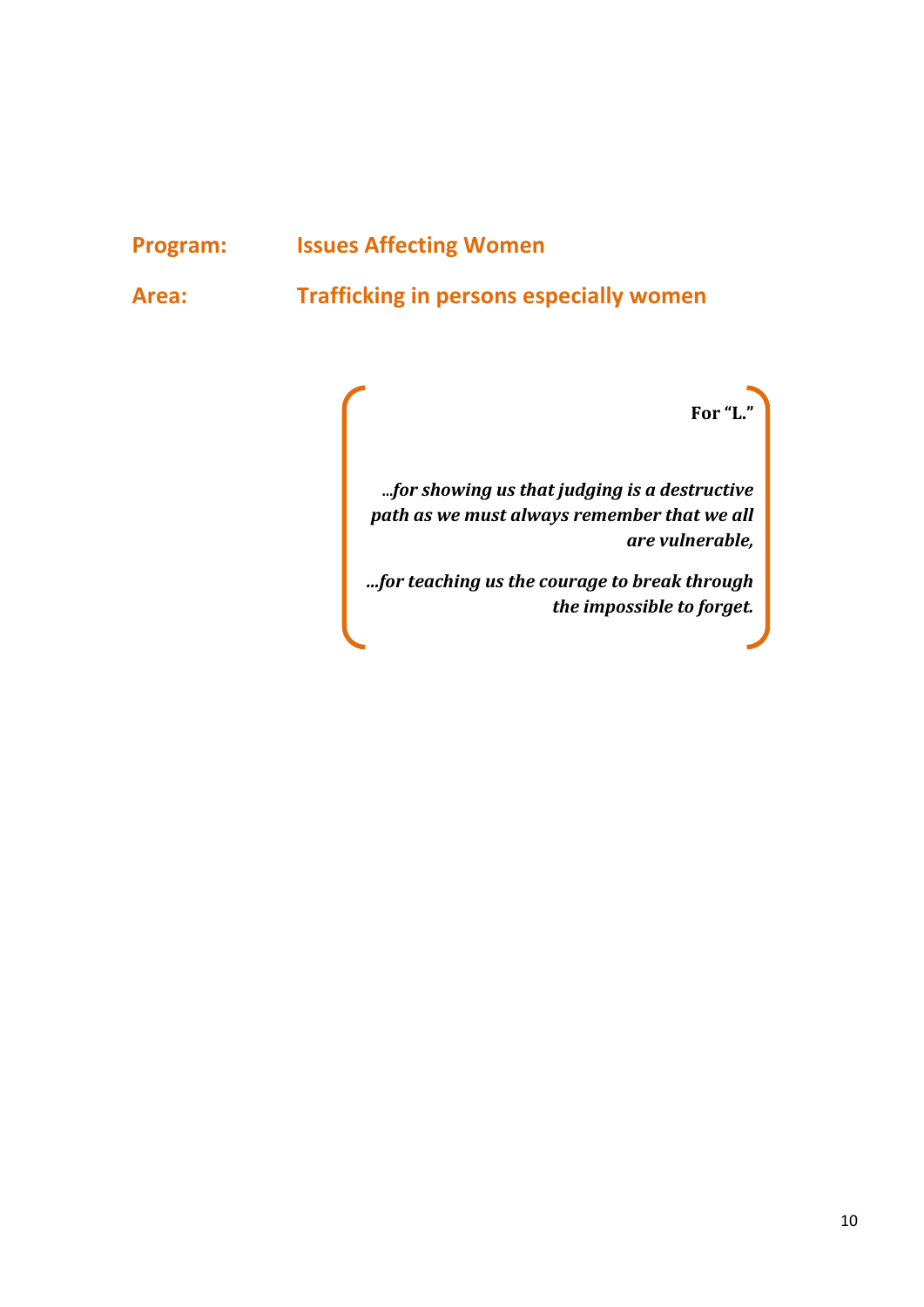## **Program: Issues Affecting Women**

**Area: Trafficking in persons especially women** 

**For "L."**

**…***for showing us that judging is a destructive path as we must always remember that we all are vulnerable,* 

*…for teaching us the courage to break through the impossible to forget.*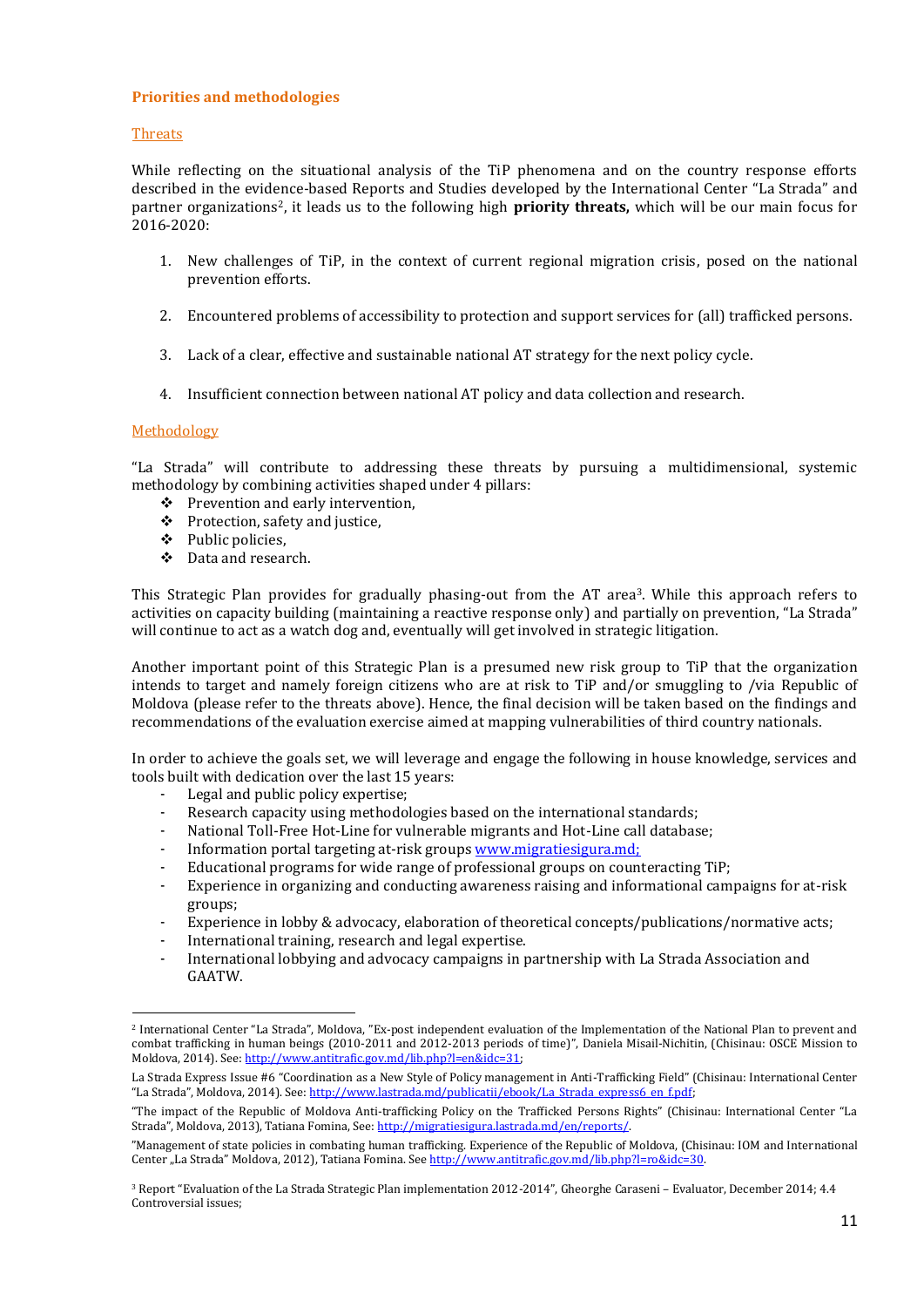#### **Priorities and methodologies**

#### Threats

While reflecting on the situational analysis of the TiP phenomena and on the country response efforts described in the evidence-based Reports and Studies developed by the International Center "La Strada" and partner organizations2, it leads us to the following high **priority threats,** which will be our main focus for 2016-2020:

- 1. New challenges of TiP, in the context of current regional migration crisis, posed on the national prevention efforts.
- 2. Encountered problems of accessibility to protection and support services for (all) trafficked persons.
- 3. Lack of a clear, effective and sustainable national AT strategy for the next policy cycle.
- 4. Insufficient connection between national AT policy and data collection and research.

#### Methodology

**.** 

"La Strada" will contribute to addressing these threats by pursuing a multidimensional, systemic methodology by combining activities shaped under 4 pillars:

- $\div$  Prevention and early intervention,
- Protection, safety and justice,
- Public policies,
- Data and research.

This Strategic Plan provides for gradually phasing-out from the AT area<sup>3</sup>. While this approach refers to activities on capacity building (maintaining a reactive response only) and partially on prevention, "La Strada" will continue to act as a watch dog and, eventually will get involved in strategic litigation.

Another important point of this Strategic Plan is a presumed new risk group to TiP that the organization intends to target and namely foreign citizens who are at risk to TiP and/or smuggling to /via Republic of Moldova (please refer to the threats above). Hence, the final decision will be taken based on the findings and recommendations of the evaluation exercise aimed at mapping vulnerabilities of third country nationals.

In order to achieve the goals set, we will leverage and engage the following in house knowledge, services and tools built with dedication over the last 15 years:

- Legal and public policy expertise;
- Research capacity using methodologies based on the international standards;
- National Toll-Free Hot-Line for vulnerable migrants and Hot-Line call database;
- Information portal targeting at-risk group[s www.migratiesigura.md;](http://www.migratiesigura.md/)
- Educational programs for wide range of professional groups on counteracting TiP;
- Experience in organizing and conducting awareness raising and informational campaigns for at-risk groups;
- Experience in lobby & advocacy, elaboration of theoretical concepts/publications/normative acts;
- International training, research and legal expertise.
- International lobbying and advocacy campaigns in partnership with La Strada Association and GAATW.

<sup>2</sup> International Center "La Strada", Moldova, "Ex-post independent evaluation of the Implementation of the National Plan to prevent and combat trafficking in human beings (2010-2011 and 2012-2013 periods of time)", Daniela Misail-Nichitin, (Chisinau: OSCE Mission to Moldova, 2014). See: [http://www.antitrafic.gov.md/lib.php?l=en&idc=31;](http://www.antitrafic.gov.md/lib.php?l=en&idc=31)

La Strada Express Issue #6 "Coordination as a New Style of Policy management in Anti-Trafficking Field" (Chisinau: International Center "La Strada", Moldova, 2014). See: [http://www.lastrada.md/publicatii/ebook/La\\_Strada\\_express6\\_en\\_f.pdf;](http://www.lastrada.md/publicatii/ebook/La_Strada_express6_en_f.pdf)

<sup>&</sup>quot;The impact of the Republic of Moldova Anti-trafficking Policy on the Trafficked Persons Rights" (Chisinau: International Center "La Strada", Moldova, 2013), Tatiana Fomina, See: http://migratiesigura.lastrada.md/en/reports/.

<sup>&</sup>quot;Management of state policies in combating human trafficking. Experience of the Republic of Moldova, (Chisinau: IOM and International Center "La Strada" Moldova, 2012), Tatiana Fomina. Se[e http://www.antitrafic.gov.md/lib.php?l=ro&idc=30.](http://www.antitrafic.gov.md/lib.php?l=ro&idc=30)

<sup>3</sup> Report "Evaluation of the La Strada Strategic Plan implementation 2012-2014", Gheorghe Caraseni – Evaluator, December 2014; 4.4 Controversial issues;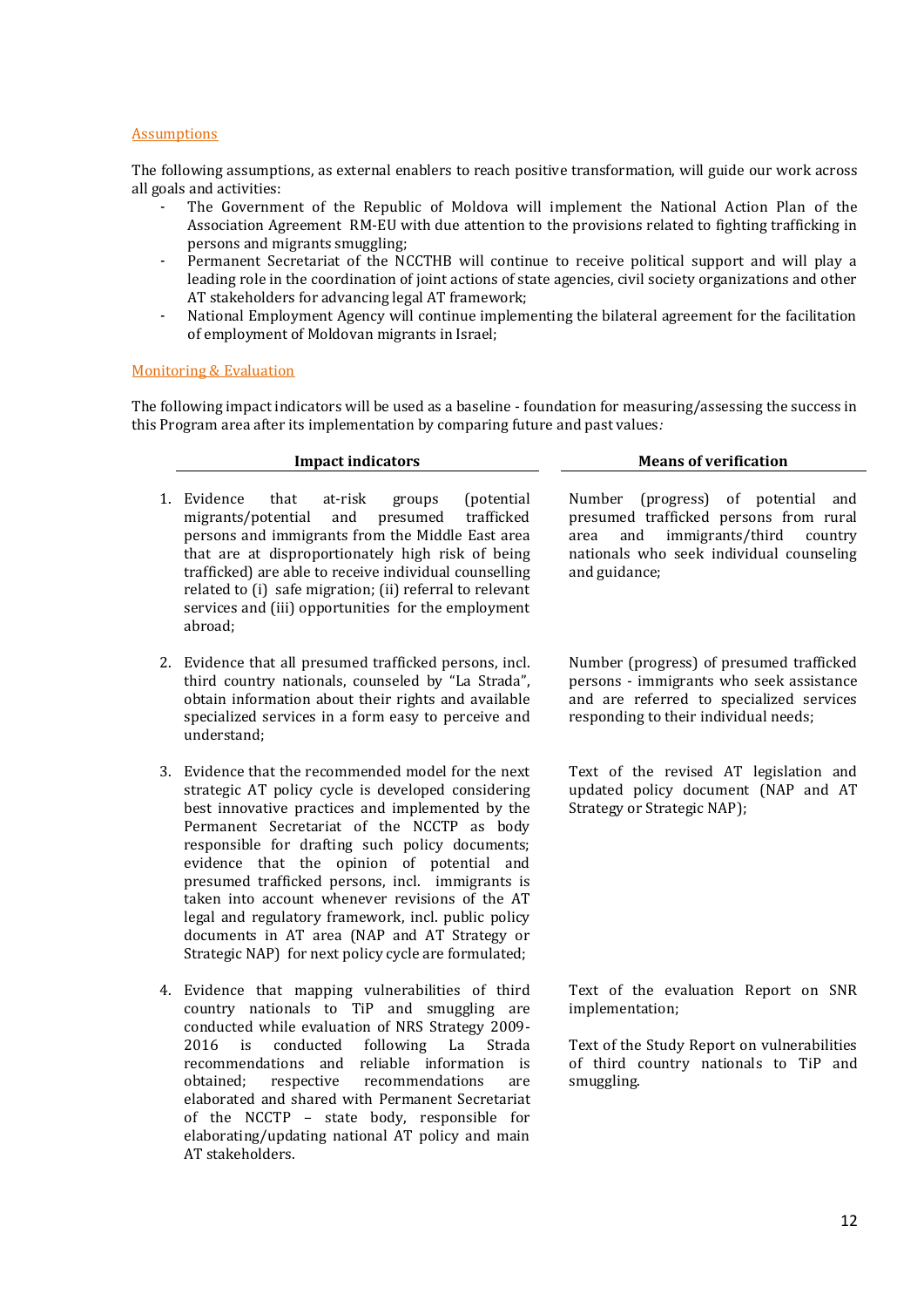#### Assumptions

The following assumptions, as external enablers to reach positive transformation, will guide our work across all goals and activities:

- The Government of the Republic of Moldova will implement the National Action Plan of the Association Agreement RM-EU with due attention to the provisions related to fighting trafficking in persons and migrants smuggling;
- Permanent Secretariat of the NCCTHB will continue to receive political support and will play a leading role in the coordination of joint actions of state agencies, civil society organizations and other AT stakeholders for advancing legal AT framework;
- National Employment Agency will continue implementing the bilateral agreement for the facilitation of employment of Moldovan migrants in Israel;

#### Monitoring & Evaluation

The following impact indicators will be used as a baseline - foundation for measuring/assessing the success in this Program area after its implementation by comparing future and past values*:*

|    | <b>Impact indicators</b>                                                                                                                                                                                                                                                                                                                                                                                                                                                                                                                                                        | <b>Means of verification</b>                                                                                                                                                            |
|----|---------------------------------------------------------------------------------------------------------------------------------------------------------------------------------------------------------------------------------------------------------------------------------------------------------------------------------------------------------------------------------------------------------------------------------------------------------------------------------------------------------------------------------------------------------------------------------|-----------------------------------------------------------------------------------------------------------------------------------------------------------------------------------------|
| 1. | Evidence<br>(potential)<br>that<br>at-risk<br>groups<br>migrants/potential<br>and<br>presumed<br>trafficked<br>persons and immigrants from the Middle East area<br>that are at disproportionately high risk of being<br>trafficked) are able to receive individual counselling<br>related to (i) safe migration; (ii) referral to relevant<br>services and (iii) opportunities for the employment<br>abroad;                                                                                                                                                                    | Number (progress) of potential and<br>presumed trafficked persons from rural<br>immigrants/third<br>and<br>country<br>area<br>nationals who seek individual counseling<br>and guidance; |
|    | 2. Evidence that all presumed trafficked persons, incl.<br>third country nationals, counseled by "La Strada",<br>obtain information about their rights and available<br>specialized services in a form easy to perceive and<br>understand;                                                                                                                                                                                                                                                                                                                                      | Number (progress) of presumed trafficked<br>persons - immigrants who seek assistance<br>and are referred to specialized services<br>responding to their individual needs;               |
| 3. | Evidence that the recommended model for the next<br>strategic AT policy cycle is developed considering<br>best innovative practices and implemented by the<br>Permanent Secretariat of the NCCTP as body<br>responsible for drafting such policy documents;<br>evidence that the opinion of potential and<br>presumed trafficked persons, incl. immigrants is<br>taken into account whenever revisions of the AT<br>legal and regulatory framework, incl. public policy<br>documents in AT area (NAP and AT Strategy or<br>Strategic NAP) for next policy cycle are formulated; | Text of the revised AT legislation and<br>updated policy document (NAP and AT<br>Strategy or Strategic NAP);                                                                            |

4. Evidence that mapping vulnerabilities of third country nationals to TiP and smuggling are conducted while evaluation of NRS Strategy 2009- 2016 is conducted following La Strada recommendations and reliable information is obtained; respective recommendations are elaborated and shared with Permanent Secretariat of the NCCTP – state body, responsible for elaborating/updating national AT policy and main AT stakeholders.

Text of the evaluation Report on SNR implementation;

Text of the Study Report on vulnerabilities of third country nationals to TiP and smuggling.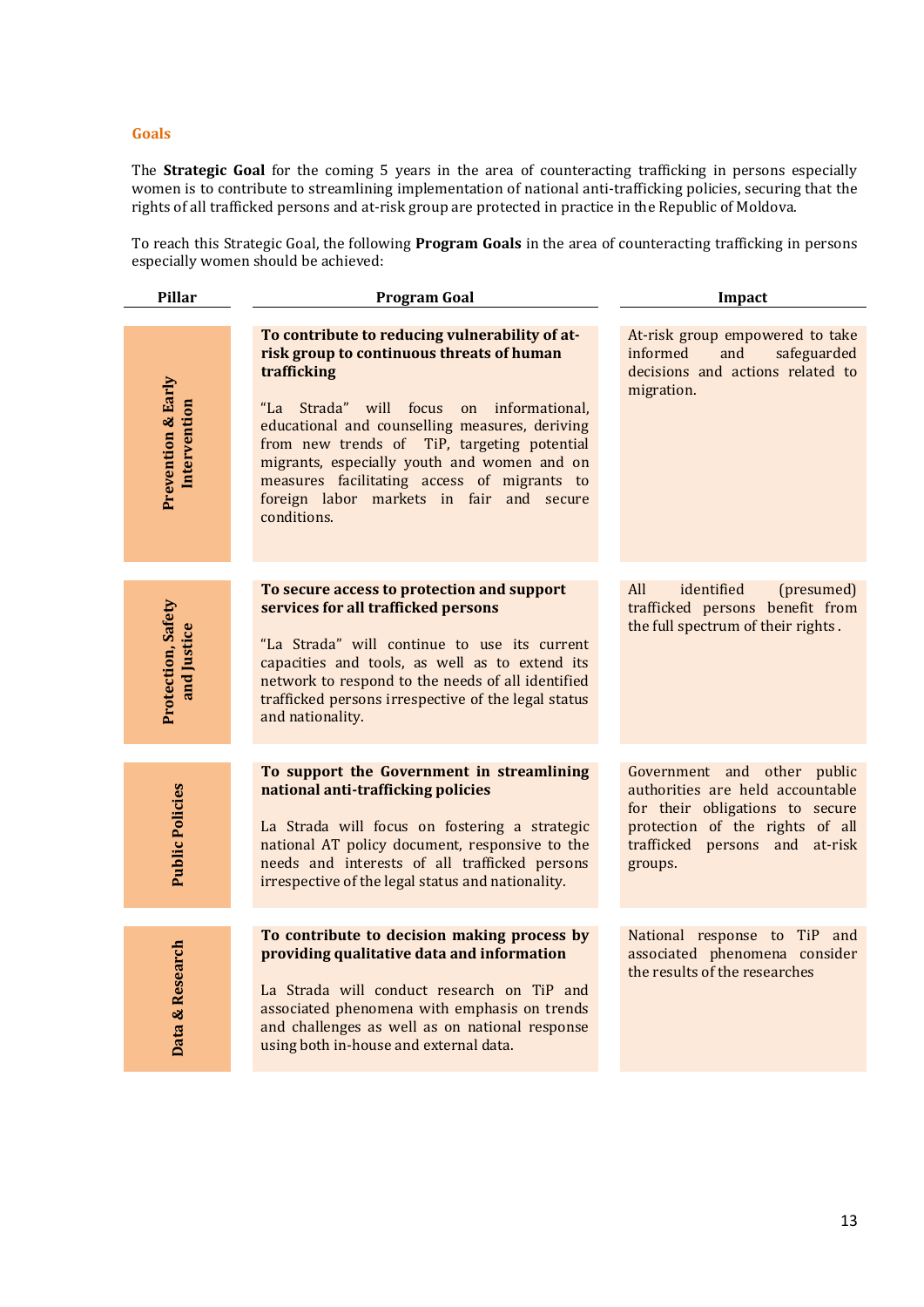#### **Goals**

The **Strategic Goal** for the coming 5 years in the area of counteracting trafficking in persons especially women is to contribute to streamlining implementation of national anti-trafficking policies, securing that the rights of all trafficked persons and at-risk group are protected in practice in the Republic of Moldova.

To reach this Strategic Goal, the following **Program Goals** in the area of counteracting trafficking in persons especially women should be achieved:

| Pillar                                        | <b>Program Goal</b>                                                                                                                                                                                                                                                                                                                                                                                              | Impact                                                                                                                                                                             |
|-----------------------------------------------|------------------------------------------------------------------------------------------------------------------------------------------------------------------------------------------------------------------------------------------------------------------------------------------------------------------------------------------------------------------------------------------------------------------|------------------------------------------------------------------------------------------------------------------------------------------------------------------------------------|
| <b>Prevention &amp; Early</b><br>Intervention | To contribute to reducing vulnerability of at-<br>risk group to continuous threats of human<br>trafficking<br>"La Strada" will focus on informational,<br>educational and counselling measures, deriving<br>from new trends of TiP, targeting potential<br>migrants, especially youth and women and on<br>measures facilitating access of migrants to<br>foreign labor markets in fair and secure<br>conditions. | At-risk group empowered to take<br>and<br>safeguarded<br>informed<br>decisions and actions related to<br>migration.                                                                |
| Protection, Safety<br>and Justice             | To secure access to protection and support<br>services for all trafficked persons<br>"La Strada" will continue to use its current<br>capacities and tools, as well as to extend its<br>network to respond to the needs of all identified<br>trafficked persons irrespective of the legal status<br>and nationality.                                                                                              | All<br>identified<br>(presumed)<br>trafficked persons benefit from<br>the full spectrum of their rights.                                                                           |
| <b>Public Policies</b>                        | To support the Government in streamlining<br>national anti-trafficking policies<br>La Strada will focus on fostering a strategic<br>national AT policy document, responsive to the<br>needs and interests of all trafficked persons<br>irrespective of the legal status and nationality.                                                                                                                         | Government and other public<br>authorities are held accountable<br>for their obligations to secure<br>protection of the rights of all<br>trafficked persons and at-risk<br>groups. |
| Data & Research                               | To contribute to decision making process by<br>providing qualitative data and information<br>La Strada will conduct research on TiP and<br>associated phenomena with emphasis on trends<br>and challenges as well as on national response<br>using both in-house and external data.                                                                                                                              | National response to TiP and<br>associated phenomena consider<br>the results of the researches                                                                                     |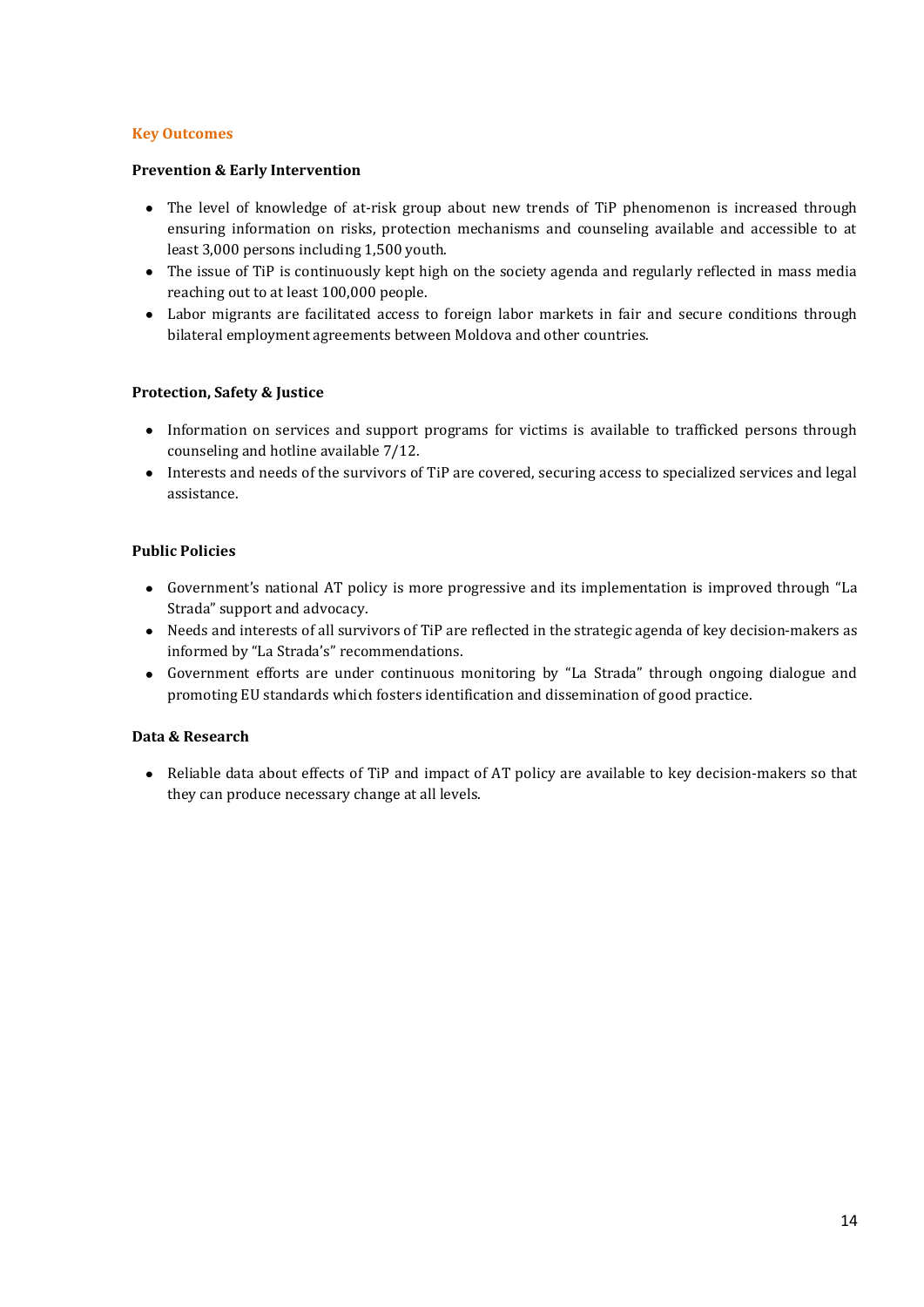## **Key Outcomes**

## **Prevention & Early Intervention**

- The level of knowledge of at-risk group about new trends of TiP phenomenon is increased through ensuring information on risks, protection mechanisms and counseling available and accessible to at least 3,000 persons including 1,500 youth.
- The issue of TiP is continuously kept high on the society agenda and regularly reflected in mass media reaching out to at least 100,000 people.
- Labor migrants are facilitated access to foreign labor markets in fair and secure conditions through bilateral employment agreements between Moldova and other countries.

## **Protection, Safety & Justice**

- Information on services and support programs for victims is available to trafficked persons through counseling and hotline available 7/12.
- Interests and needs of the survivors of TiP are covered, securing access to specialized services and legal assistance.

## **Public Policies**

- Government's national AT policy is more progressive and its implementation is improved through "La Strada" support and advocacy.
- Needs and interests of all survivors of TiP are reflected in the strategic agenda of key decision-makers as informed by "La Strada's" recommendations.
- Government efforts are under continuous monitoring by "La Strada" through ongoing dialogue and promoting EU standards which fosters identification and dissemination of good practice.

#### **Data & Research**

Reliable data about effects of TiP and impact of AT policy are available to key decision-makers so that they can produce necessary change at all levels.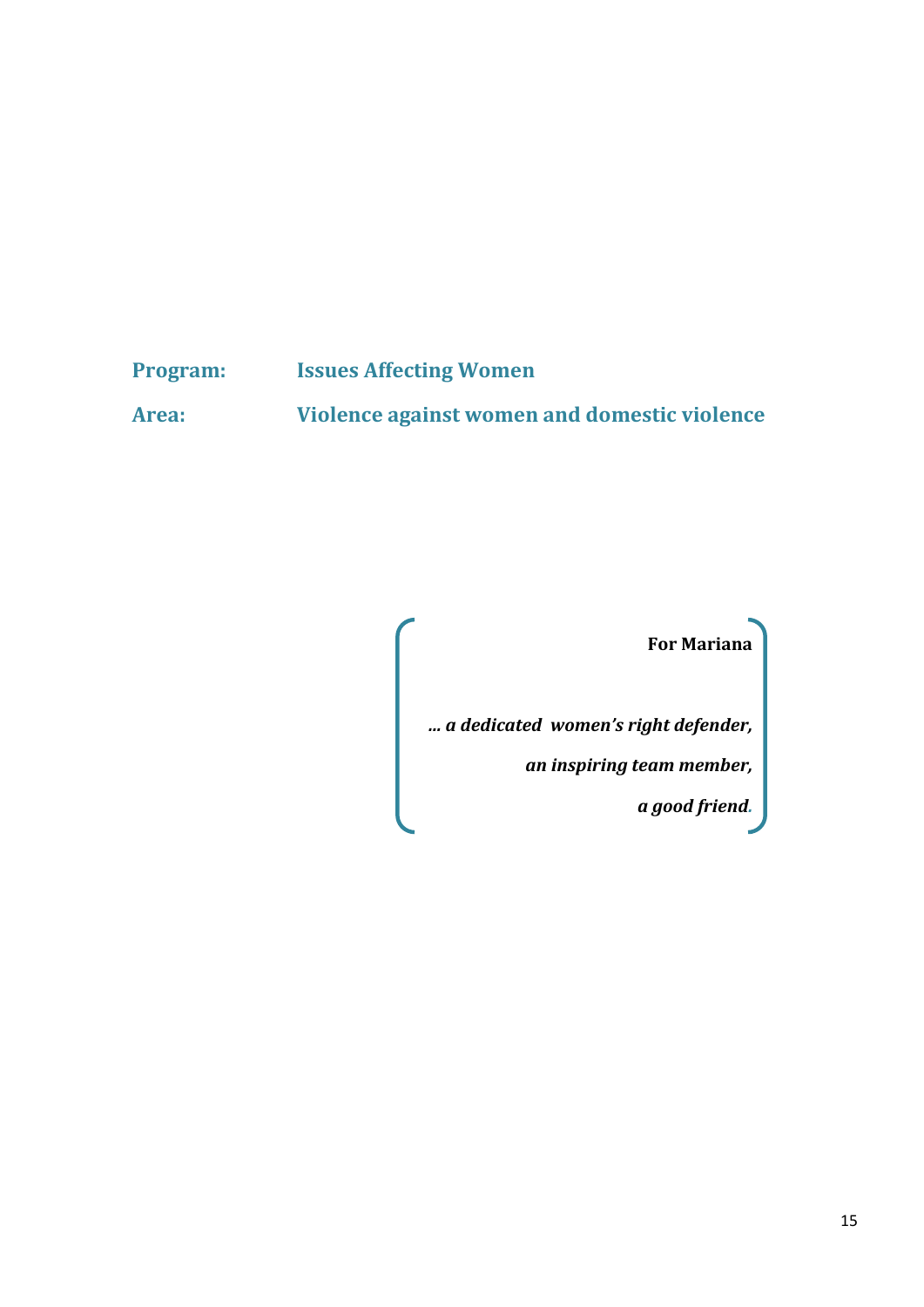# **Program: Issues Affecting Women**

**Area: Violence against women and domestic violence**

**For Mariana** 

*… a dedicated women's right defender,*

*an inspiring team member,*

*a good friend.*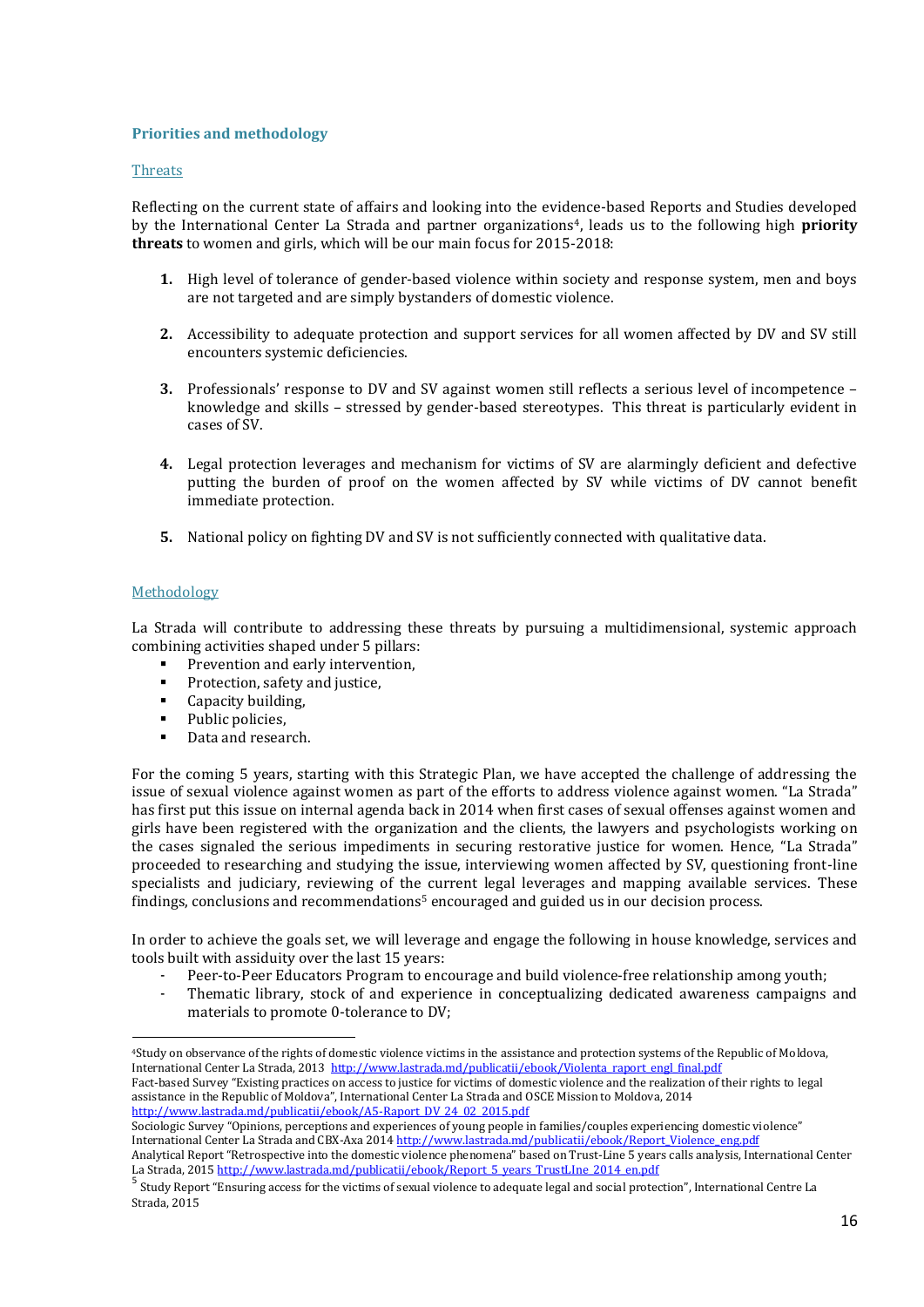#### **Priorities and methodology**

#### **Threats**

Reflecting on the current state of affairs and looking into the evidence-based Reports and Studies developed by the International Center La Strada and partner organizations4, leads us to the following high **priority threats** to women and girls, which will be our main focus for 2015-2018:

- **1.** High level of tolerance of gender-based violence within society and response system, men and boys are not targeted and are simply bystanders of domestic violence.
- **2.** Accessibility to adequate protection and support services for all women affected by DV and SV still encounters systemic deficiencies.
- **3.** Professionals' response to DV and SV against women still reflects a serious level of incompetence knowledge and skills – stressed by gender-based stereotypes. This threat is particularly evident in cases of SV.
- **4.** Legal protection leverages and mechanism for victims of SV are alarmingly deficient and defective putting the burden of proof on the women affected by SV while victims of DV cannot benefit immediate protection.
- **5.** National policy on fighting DV and SV is not sufficiently connected with qualitative data.

## Methodology

1

La Strada will contribute to addressing these threats by pursuing a multidimensional, systemic approach combining activities shaped under 5 pillars:

- **Prevention and early intervention,**
- **Protection, safety and justice,**
- Capacity building,
- Public policies.
- Data and research.

For the coming 5 years, starting with this Strategic Plan, we have accepted the challenge of addressing the issue of sexual violence against women as part of the efforts to address violence against women. "La Strada" has first put this issue on internal agenda back in 2014 when first cases of sexual offenses against women and girls have been registered with the organization and the clients, the lawyers and psychologists working on the cases signaled the serious impediments in securing restorative justice for women. Hence, "La Strada" proceeded to researching and studying the issue, interviewing women affected by SV, questioning front-line specialists and judiciary, reviewing of the current legal leverages and mapping available services. These findings, conclusions and recommendations<sup>5</sup> encouraged and guided us in our decision process.

In order to achieve the goals set, we will leverage and engage the following in house knowledge, services and tools built with assiduity over the last 15 years:

- Peer-to-Peer Educators Program to encourage and build violence-free relationship among youth;
- Thematic library, stock of and experience in conceptualizing dedicated awareness campaigns and materials to promote 0-tolerance to DV;

<sup>4</sup>Study on observance of the rights of domestic violence victims in the assistance and protection systems of the Republic of Moldova, International Center La Strada, 2013 http://www.lastrada.md/publicatii/ebook/Violenta raport engl\_final.pdf Fact-based Survey "Existing practices on access to justice for victims of domestic violence and the realization of their rights to legal assistance in the Republic of Moldova", International Center La Strada and OSCE Mission to Moldova, 2014 [http://www.lastrada.md/publicatii/ebook/A5-Raport\\_DV\\_24\\_02\\_2015.pdf](http://www.lastrada.md/publicatii/ebook/A5-Raport_DV_24_02_2015.pdf)

Sociologic Survey "Opinions, perceptions and experiences of young people in families/couples experiencing domestic violence" International Center La Strada and CBX-Axa 201[4 http://www.lastrada.md/publicatii/ebook/Report\\_Violence\\_eng.pdf](http://www.lastrada.md/publicatii/ebook/Report_Violence_eng.pdf) Analytical Report "Retrospective into the domestic violence phenomena" based on Trust-Line 5 years calls analysis, International Center

La Strada, 2015 <u>http://www.lastrada.md/publicatii/ebook/Report\_5\_years\_TrustLIne\_2014\_en.pdf</u><br>5\_ct\_deDeemet\_fFerencesence.com/publications.com/publications.com/publications.com

Study Report "Ensuring access for the victims of sexual violence to adequate legal and social protection", International Centre La Strada, 2015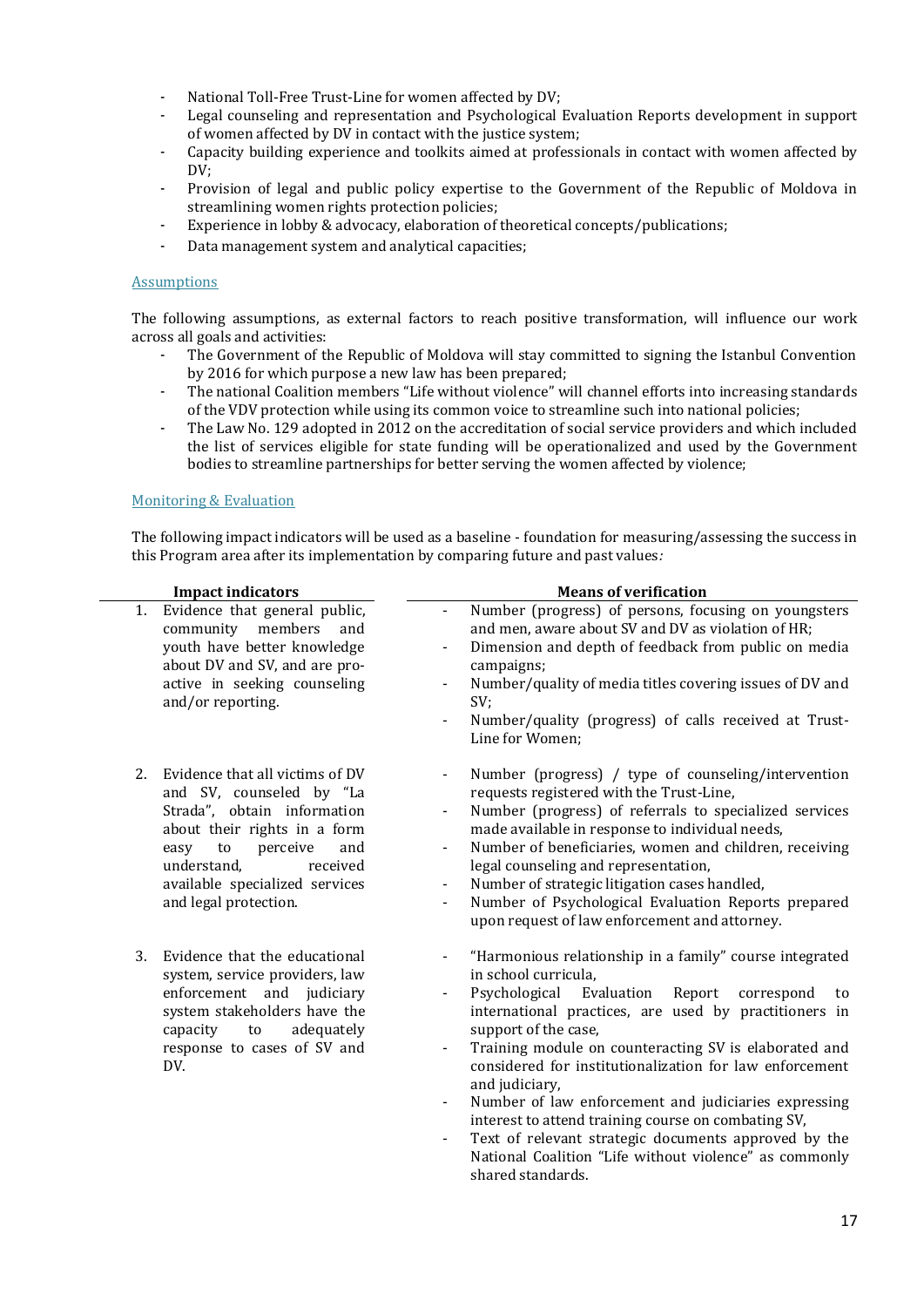- National Toll-Free Trust-Line for women affected by DV;
- Legal counseling and representation and Psychological Evaluation Reports development in support of women affected by DV in contact with the justice system;
- Capacity building experience and toolkits aimed at professionals in contact with women affected by DV:
- Provision of legal and public policy expertise to the Government of the Republic of Moldova in streamlining women rights protection policies;
- Experience in lobby & advocacy, elaboration of theoretical concepts/publications;
- Data management system and analytical capacities;

#### Assumptions

The following assumptions, as external factors to reach positive transformation, will influence our work across all goals and activities:

- The Government of the Republic of Moldova will stay committed to signing the Istanbul Convention by 2016 for which purpose a new law has been prepared;
- The national Coalition members "Life without violence" will channel efforts into increasing standards of the VDV protection while using its common voice to streamline such into national policies;
- The Law No. 129 adopted in 2012 on the accreditation of social service providers and which included the list of services eligible for state funding will be operationalized and used by the Government bodies to streamline partnerships for better serving the women affected by violence;

#### Monitoring & Evaluation

The following impact indicators will be used as a baseline - foundation for measuring/assessing the success in this Program area after its implementation by comparing future and past values*:*

| <b>Impact indicators</b><br>Evidence that general public,<br>1.<br>community members<br>and<br>youth have better knowledge<br>about DV and SV, and are pro-<br>active in seeking counseling<br>and/or reporting.                     |                 | <b>Means of verification</b>                                                                                                                                                                                                                                                                                                                                                                                                                                                                                                                                                                                                                                                                                          |  |
|--------------------------------------------------------------------------------------------------------------------------------------------------------------------------------------------------------------------------------------|-----------------|-----------------------------------------------------------------------------------------------------------------------------------------------------------------------------------------------------------------------------------------------------------------------------------------------------------------------------------------------------------------------------------------------------------------------------------------------------------------------------------------------------------------------------------------------------------------------------------------------------------------------------------------------------------------------------------------------------------------------|--|
|                                                                                                                                                                                                                                      |                 | Number (progress) of persons, focusing on youngsters<br>and men, aware about SV and DV as violation of HR;<br>Dimension and depth of feedback from public on media<br>$\overline{\phantom{a}}$<br>campaigns;<br>Number/quality of media titles covering issues of DV and<br>SV;<br>Number/quality (progress) of calls received at Trust-<br>Line for Women;                                                                                                                                                                                                                                                                                                                                                           |  |
| Evidence that all victims of DV<br>2.<br>and SV, counseled by "La<br>Strada", obtain information<br>about their rights in a form<br>easy<br>to<br>perceive<br>understand,<br>available specialized services<br>and legal protection. | and<br>received | Number (progress) / type of counseling/intervention<br>$\overline{\phantom{a}}$<br>requests registered with the Trust-Line,<br>Number (progress) of referrals to specialized services<br>made available in response to individual needs,<br>Number of beneficiaries, women and children, receiving<br>$\overline{\phantom{a}}$<br>legal counseling and representation,<br>Number of strategic litigation cases handled,<br>Number of Psychological Evaluation Reports prepared<br>upon request of law enforcement and attorney.                                                                                                                                                                                       |  |
| 3.<br>Evidence that the educational<br>system, service providers, law<br>enforcement and judiciary<br>system stakeholders have the<br>to<br>capacity<br>response to cases of SV and<br>DV.                                           | adequately      | "Harmonious relationship in a family" course integrated<br>$\blacksquare$<br>in school curricula.<br>Psychological<br>Evaluation<br>Report<br>correspond<br>to<br>$\overline{\phantom{a}}$<br>international practices, are used by practitioners in<br>support of the case,<br>Training module on counteracting SV is elaborated and<br>$\overline{\phantom{a}}$<br>considered for institutionalization for law enforcement<br>and judiciary,<br>Number of law enforcement and judiciaries expressing<br>interest to attend training course on combating SV,<br>Text of relevant strategic documents approved by the<br>$\blacksquare$<br>National Coalition "Life without violence" as commonly<br>shared standards. |  |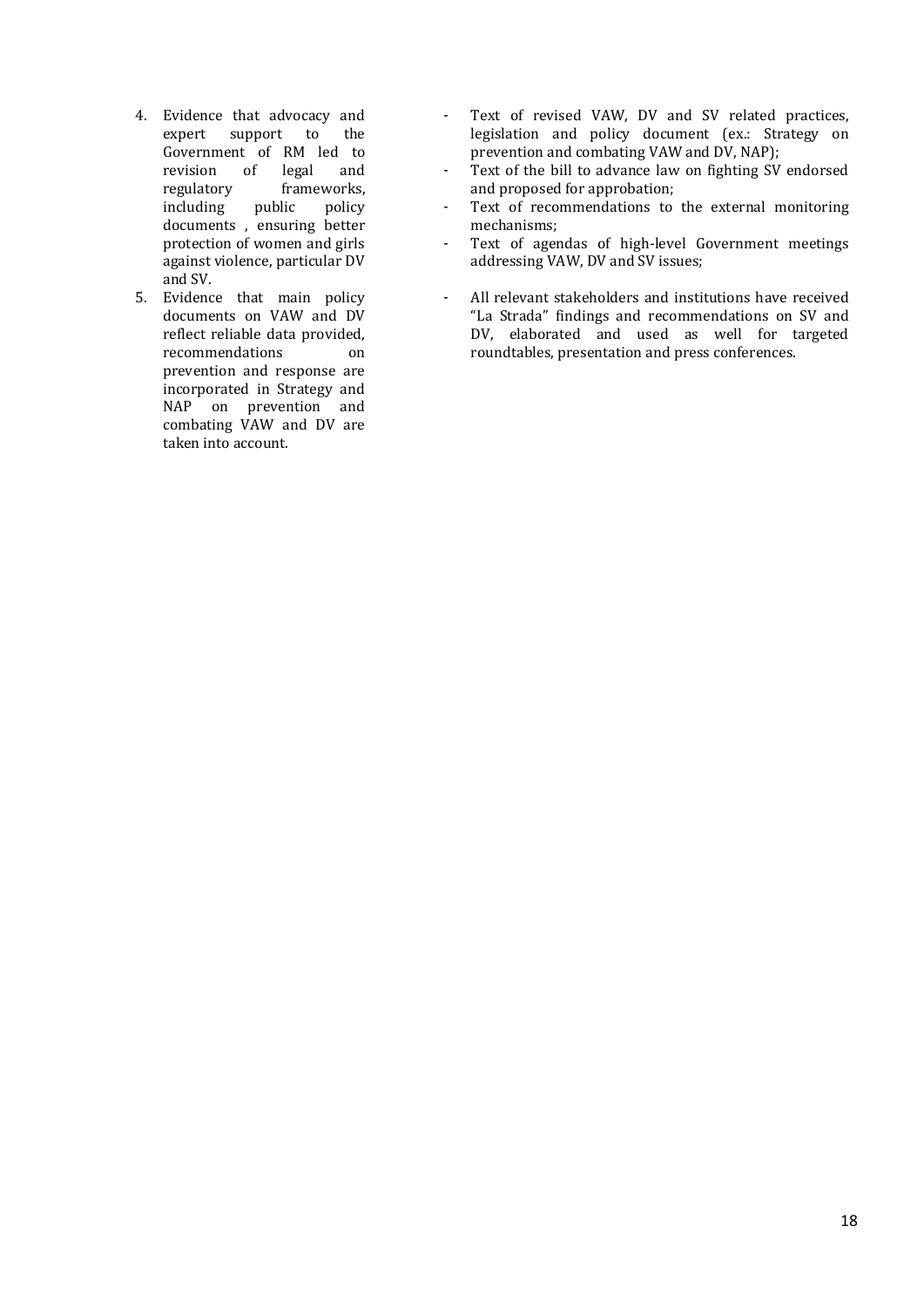- 4. Evidence that advocacy and expert support to the Government of RM led to revision of legal and regulatory frameworks,<br>including public policy including public policy documents , ensuring better protection of women and girls against violence, particular DV and SV.
- 5. Evidence that main policy documents on VAW and DV reflect reliable data provided, recommendations on prevention and response are incorporated in Strategy and NAP on prevention and combating VAW and DV are taken into account.
- Text of revised VAW, DV and SV related practices, legislation and policy document (ex.: Strategy on prevention and combating VAW and DV, NAP);
- Text of the bill to advance law on fighting SV endorsed and proposed for approbation;
- Text of recommendations to the external monitoring mechanisms;
- Text of agendas of high-level Government meetings addressing VAW, DV and SV issues;
- All relevant stakeholders and institutions have received "La Strada" findings and recommendations on SV and DV, elaborated and used as well for targeted roundtables, presentation and press conferences.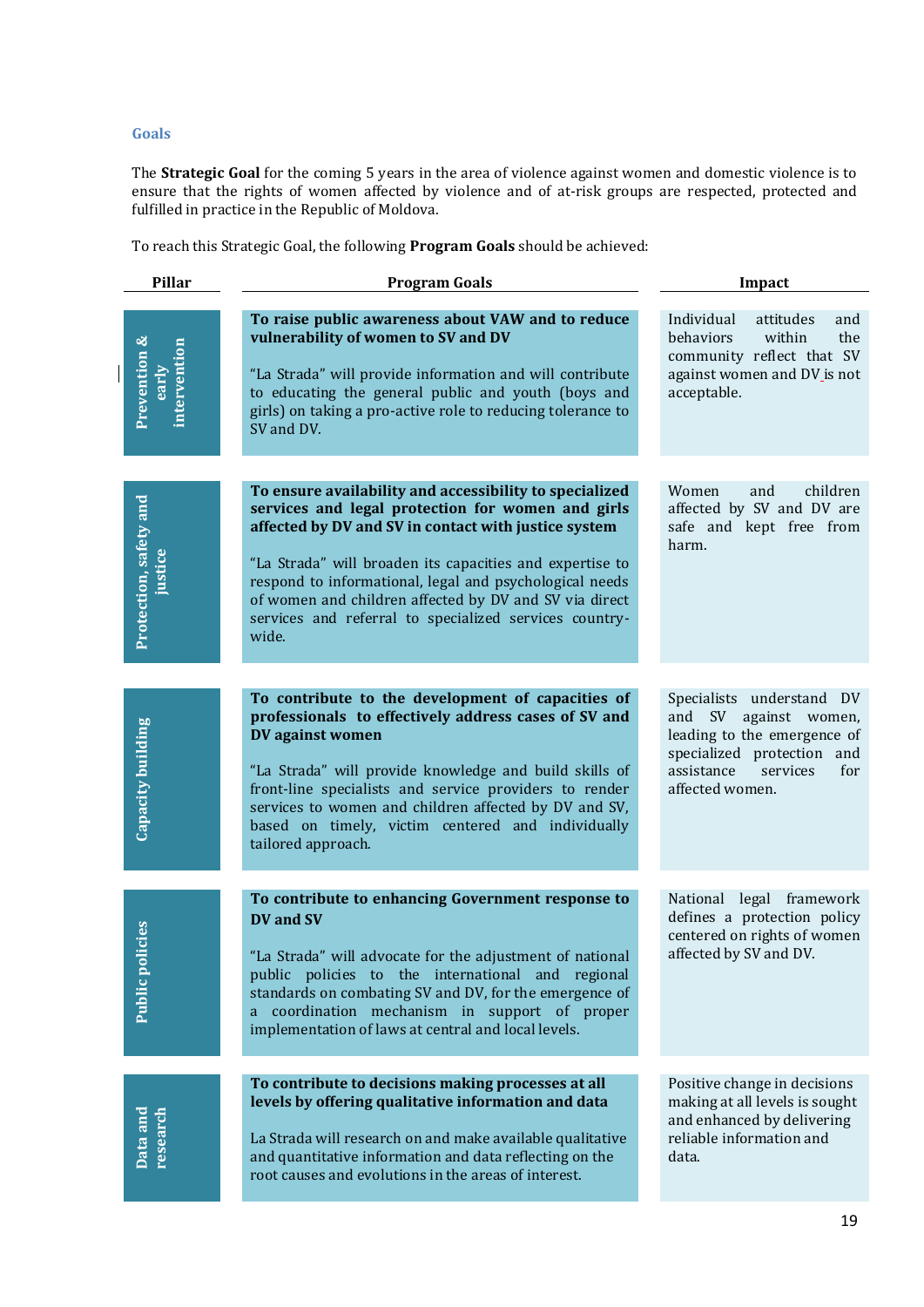## **Goals**

The **Strategic Goal** for the coming 5 years in the area of violence against women and domestic violence is to ensure that the rights of women affected by violence and of at-risk groups are respected, protected and fulfilled in practice in the Republic of Moldova.

To reach this Strategic Goal, the following **Program Goals** should be achieved:

| <b>Pillar</b>                         | <b>Program Goals</b>                                                                                                                                                                                                                                                                                                                                                                                                     | Impact                                                                                                                                                                    |
|---------------------------------------|--------------------------------------------------------------------------------------------------------------------------------------------------------------------------------------------------------------------------------------------------------------------------------------------------------------------------------------------------------------------------------------------------------------------------|---------------------------------------------------------------------------------------------------------------------------------------------------------------------------|
| Prevention &<br>intervention<br>early | To raise public awareness about VAW and to reduce<br>vulnerability of women to SV and DV<br>"La Strada" will provide information and will contribute<br>to educating the general public and youth (boys and<br>girls) on taking a pro-active role to reducing tolerance to<br>SV and DV.                                                                                                                                 | Individual<br>attitudes<br>and<br>behaviors<br>within<br>the<br>community reflect that SV<br>against women and DV is not<br>acceptable.                                   |
| Protection, safety and                | To ensure availability and accessibility to specialized<br>services and legal protection for women and girls<br>affected by DV and SV in contact with justice system<br>"La Strada" will broaden its capacities and expertise to<br>respond to informational, legal and psychological needs<br>of women and children affected by DV and SV via direct<br>services and referral to specialized services country-<br>wide. | Women<br>children<br>and<br>affected by SV and DV are<br>safe and kept free from<br>harm.                                                                                 |
| Capacity building                     | To contribute to the development of capacities of<br>professionals to effectively address cases of SV and<br>DV against women<br>"La Strada" will provide knowledge and build skills of<br>front-line specialists and service providers to render<br>services to women and children affected by DV and SV,<br>based on timely, victim centered and individually<br>tailored approach.                                    | Specialists understand DV<br>SV<br>against women,<br>and<br>leading to the emergence of<br>specialized protection and<br>assistance<br>for<br>services<br>affected women. |
| olicies<br>Public p                   | To contribute to enhancing Government response to<br>DV and SV<br>"La Strada" will advocate for the adjustment of national<br>public policies to the international and regional<br>standards on combating SV and DV, for the emergence of<br>a coordination mechanism in support of proper<br>implementation of laws at central and local levels.                                                                        | National legal framework<br>defines a protection policy<br>centered on rights of women<br>affected by SV and DV.                                                          |
| Data and<br>research                  | To contribute to decisions making processes at all<br>levels by offering qualitative information and data<br>La Strada will research on and make available qualitative<br>and quantitative information and data reflecting on the<br>root causes and evolutions in the areas of interest.                                                                                                                                | Positive change in decisions<br>making at all levels is sought<br>and enhanced by delivering<br>reliable information and<br>data.                                         |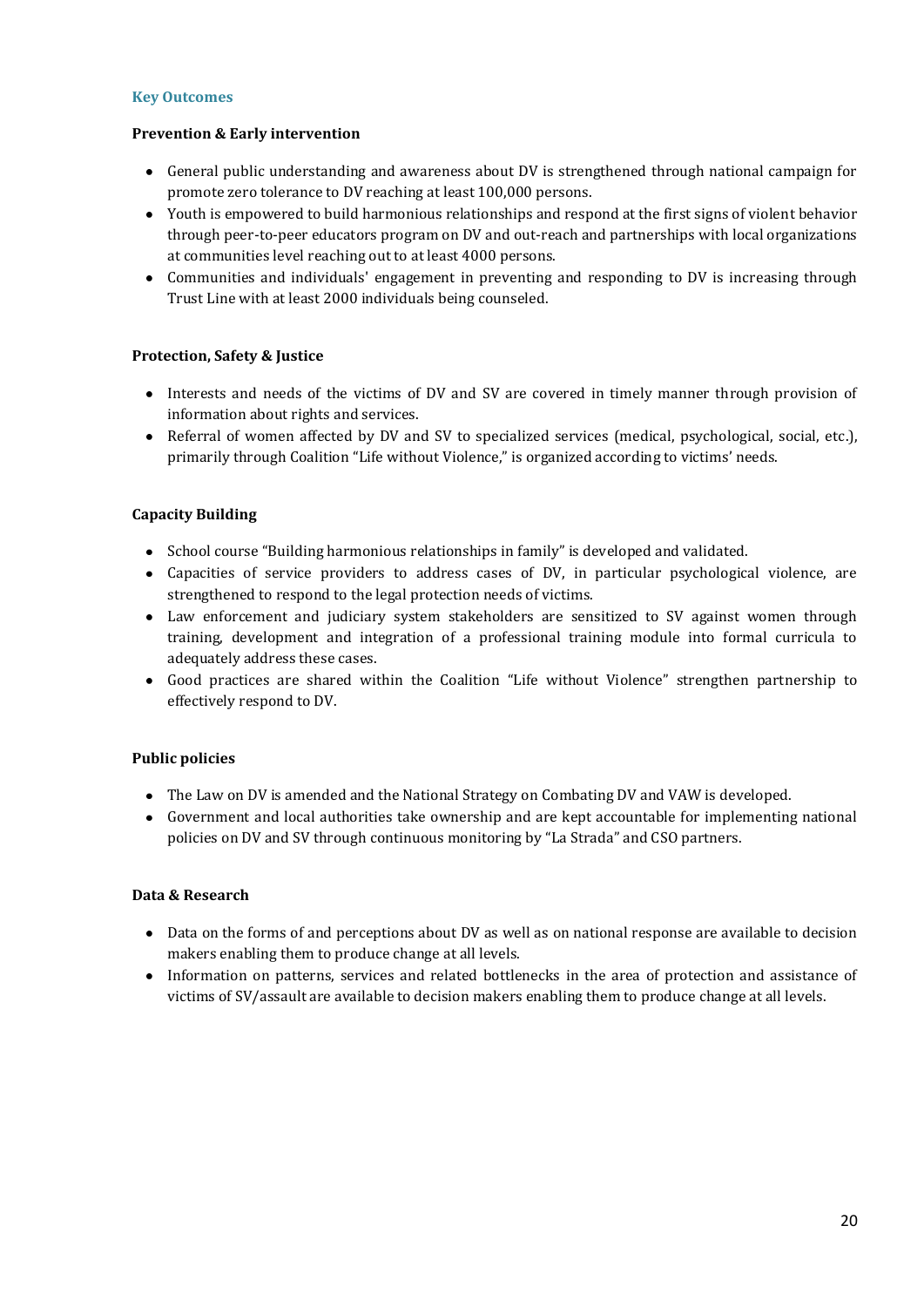## **Key Outcomes**

## **Prevention & Early intervention**

- General public understanding and awareness about DV is strengthened through national campaign for promote zero tolerance to DV reaching at least 100,000 persons.
- Youth is empowered to build harmonious relationships and respond at the first signs of violent behavior through peer-to-peer educators program on DV and out-reach and partnerships with local organizations at communities level reaching out to at least 4000 persons.
- Communities and individuals' engagement in preventing and responding to DV is increasing through Trust Line with at least 2000 individuals being counseled.

## **Protection, Safety & Justice**

- Interests and needs of the victims of DV and SV are covered in timely manner through provision of information about rights and services.
- Referral of women affected by DV and SV to specialized services (medical, psychological, social, etc.), primarily through Coalition "Life without Violence," is organized according to victims' needs.

## **Capacity Building**

- School course "Building harmonious relationships in family" is developed and validated.
- Capacities of service providers to address cases of DV, in particular psychological violence, are strengthened to respond to the legal protection needs of victims.
- Law enforcement and judiciary system stakeholders are sensitized to SV against women through training, development and integration of a professional training module into formal curricula to adequately address these cases.
- Good practices are shared within the Coalition "Life without Violence" strengthen partnership to effectively respond to DV.

## **Public policies**

- The Law on DV is amended and the National Strategy on Combating DV and VAW is developed.
- Government and local authorities take ownership and are kept accountable for implementing national policies on DV and SV through continuous monitoring by "La Strada" and CSO partners.

## **Data & Research**

- Data on the forms of and perceptions about DV as well as on national response are available to decision makers enabling them to produce change at all levels.
- Information on patterns, services and related bottlenecks in the area of protection and assistance of victims of SV/assault are available to decision makers enabling them to produce change at all levels.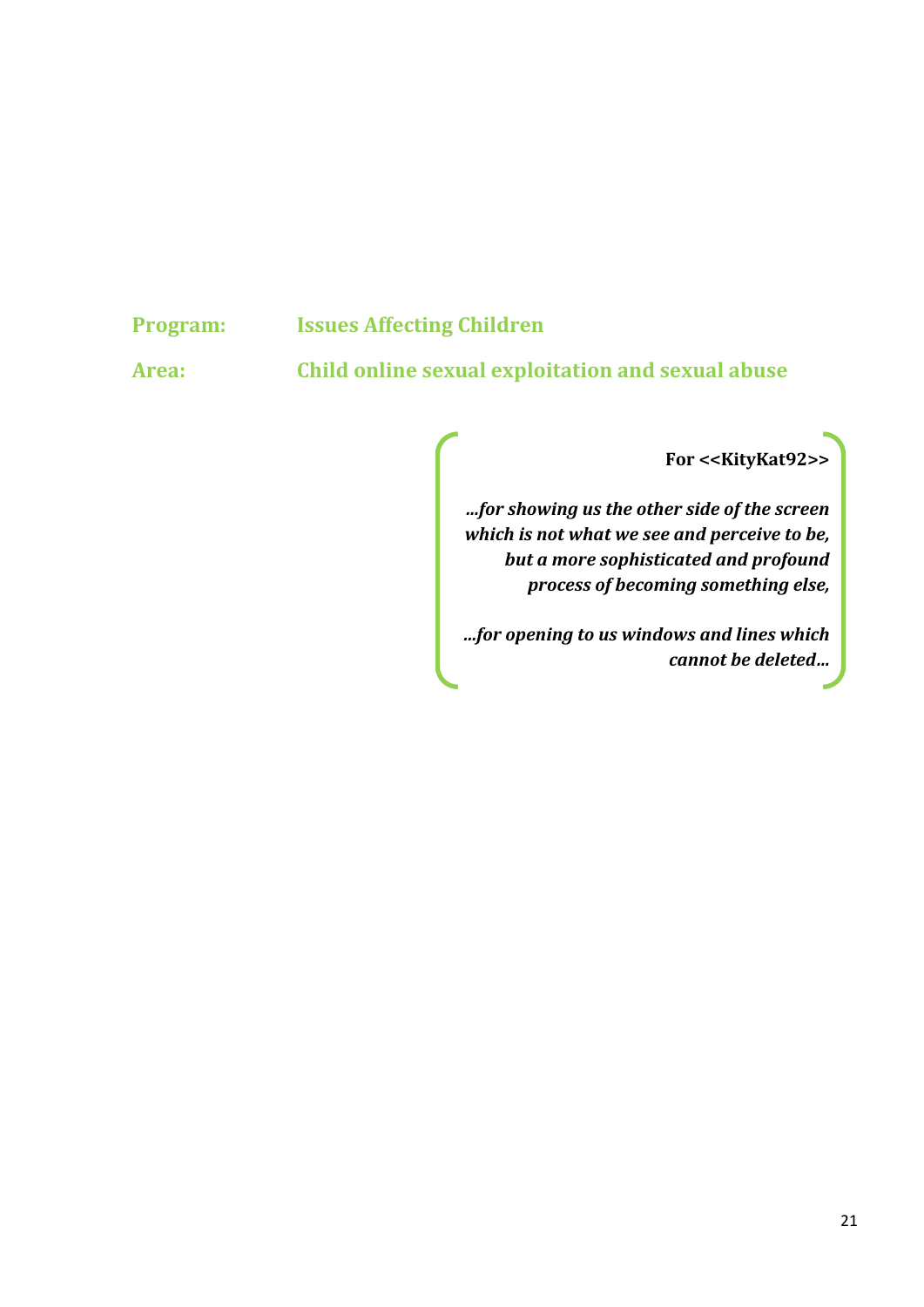# **Program: Issues Affecting Children**

**Area: Child online sexual exploitation and sexual abuse**

**For <<KityKat92>>**

*…for showing us the other side of the screen which is not what we see and perceive to be, but a more sophisticated and profound process of becoming something else,*

*…for opening to us windows and lines which cannot be deleted…*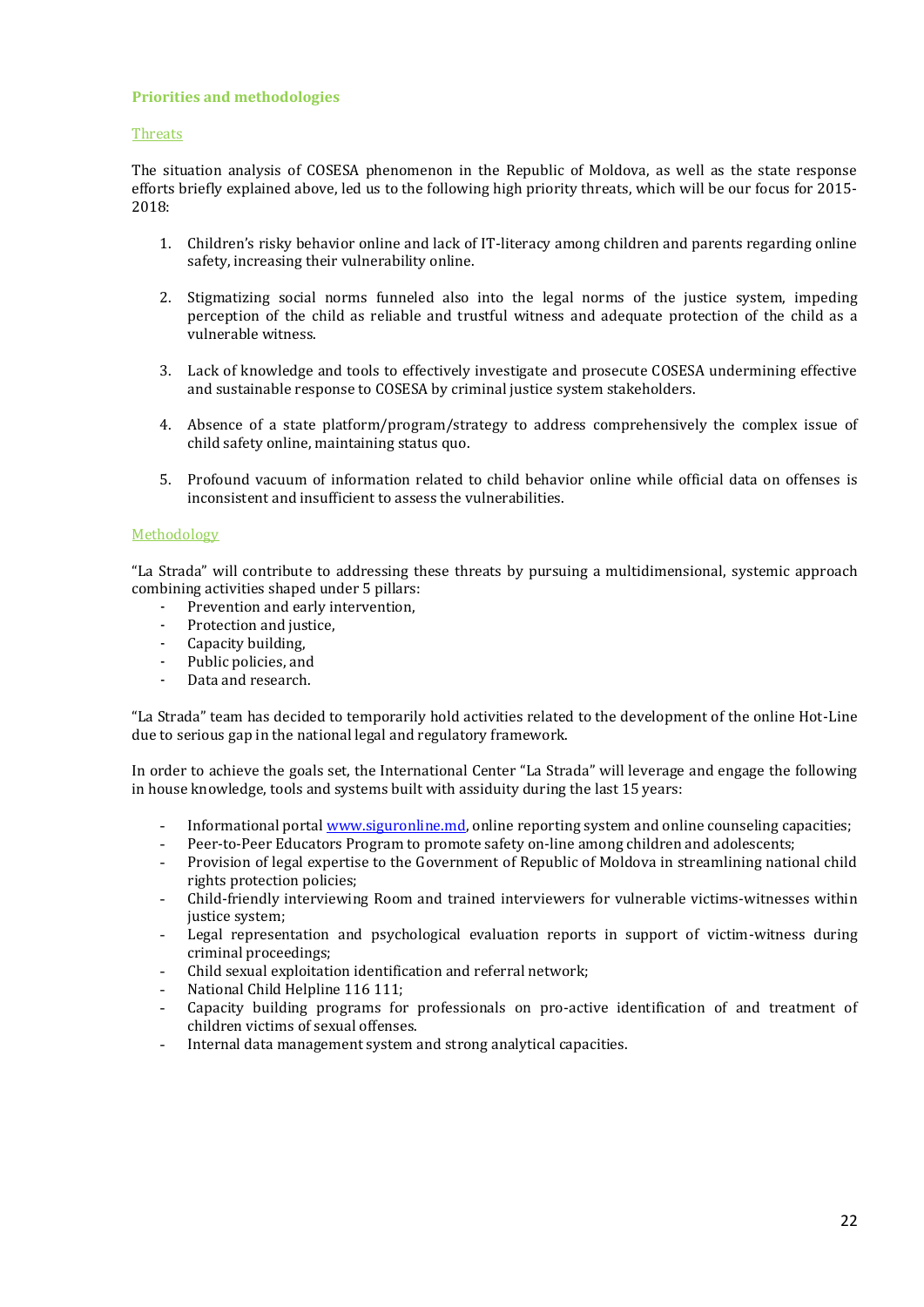#### **Priorities and methodologies**

#### Threats

The situation analysis of COSESA phenomenon in the Republic of Moldova, as well as the state response efforts briefly explained above, led us to the following high priority threats, which will be our focus for 2015- 2018:

- 1. Children's risky behavior online and lack of IT-literacy among children and parents regarding online safety, increasing their vulnerability online.
- 2. Stigmatizing social norms funneled also into the legal norms of the justice system, impeding perception of the child as reliable and trustful witness and adequate protection of the child as a vulnerable witness.
- 3. Lack of knowledge and tools to effectively investigate and prosecute COSESA undermining effective and sustainable response to COSESA by criminal justice system stakeholders.
- 4. Absence of a state platform/program/strategy to address comprehensively the complex issue of child safety online, maintaining status quo.
- 5. Profound vacuum of information related to child behavior online while official data on offenses is inconsistent and insufficient to assess the vulnerabilities.

#### Methodology

"La Strada" will contribute to addressing these threats by pursuing a multidimensional, systemic approach combining activities shaped under 5 pillars:

- Prevention and early intervention,
- Protection and justice,
- Capacity building,
- Public policies, and
- Data and research.

"La Strada" team has decided to temporarily hold activities related to the development of the online Hot-Line due to serious gap in the national legal and regulatory framework.

In order to achieve the goals set, the International Center "La Strada" will leverage and engage the following in house knowledge, tools and systems built with assiduity during the last 15 years:

- Informational porta[l www.siguronline.md,](http://www.siguronline.md/) online reporting system and online counseling capacities;
- Peer-to-Peer Educators Program to promote safety on-line among children and adolescents;
- Provision of legal expertise to the Government of Republic of Moldova in streamlining national child rights protection policies;
- Child-friendly interviewing Room and trained interviewers for vulnerable victims-witnesses within justice system;
- Legal representation and psychological evaluation reports in support of victim-witness during criminal proceedings;
- Child sexual exploitation identification and referral network;
- National Child Helpline 116 111;
- Capacity building programs for professionals on pro-active identification of and treatment of children victims of sexual offenses.
- Internal data management system and strong analytical capacities.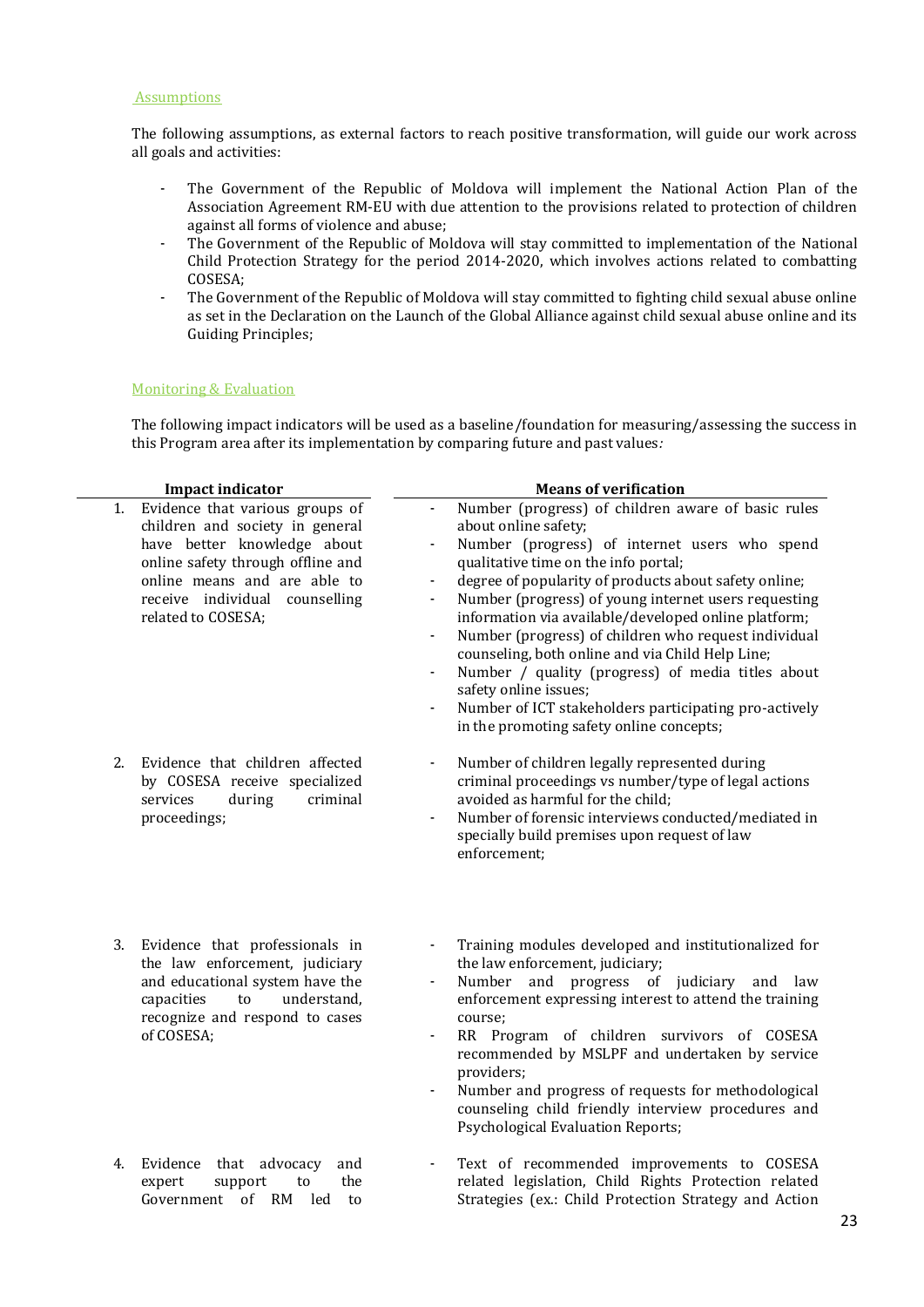#### **Assumptions**

The following assumptions, as external factors to reach positive transformation, will guide our work across all goals and activities:

- The Government of the Republic of Moldova will implement the National Action Plan of the Association Agreement RM-EU with due attention to the provisions related to protection of children against all forms of violence and abuse;
- The Government of the Republic of Moldova will stay committed to implementation of the National Child Protection Strategy for the period 2014-2020, which involves actions related to combatting COSESA;
- The Government of the Republic of Moldova will stay committed to fighting child sexual abuse online as set in the Declaration on the Launch of the Global Alliance against child sexual abuse online and its Guiding Principles;

#### Monitoring & Evaluation

The following impact indicators will be used as a baseline/foundation for measuring/assessing the success in this Program area after its implementation by comparing future and past values*:*

|    | <b>Impact indicator</b>                                                                                                                                                                                                        | <b>Means of verification</b>                                                                                                                                                                                                                                                                                                                                                                                                                                                                                                                                                                                                                                                                    |
|----|--------------------------------------------------------------------------------------------------------------------------------------------------------------------------------------------------------------------------------|-------------------------------------------------------------------------------------------------------------------------------------------------------------------------------------------------------------------------------------------------------------------------------------------------------------------------------------------------------------------------------------------------------------------------------------------------------------------------------------------------------------------------------------------------------------------------------------------------------------------------------------------------------------------------------------------------|
| 1. | Evidence that various groups of<br>children and society in general<br>have better knowledge about<br>online safety through offline and<br>online means and are able to<br>receive individual counselling<br>related to COSESA; | Number (progress) of children aware of basic rules<br>÷,<br>about online safety;<br>Number (progress) of internet users who spend<br>qualitative time on the info portal;<br>degree of popularity of products about safety online;<br>$\blacksquare$<br>Number (progress) of young internet users requesting<br>$\overline{\phantom{a}}$<br>information via available/developed online platform;<br>Number (progress) of children who request individual<br>counseling, both online and via Child Help Line;<br>Number / quality (progress) of media titles about<br>safety online issues;<br>Number of ICT stakeholders participating pro-actively<br>in the promoting safety online concepts; |
| 2. | Evidence that children affected<br>by COSESA receive specialized<br>services<br>during<br>criminal<br>proceedings;                                                                                                             | Number of children legally represented during<br>$\blacksquare$<br>criminal proceedings vs number/type of legal actions<br>avoided as harmful for the child;<br>Number of forensic interviews conducted/mediated in<br>specially build premises upon request of law<br>enforcement;                                                                                                                                                                                                                                                                                                                                                                                                             |
| 3. | Evidence that professionals in<br>the law enforcement, judiciary<br>and educational system have the<br>understand,<br>capacities<br>to<br>recognize and respond to cases<br>of COSESA;                                         | Training modules developed and institutionalized for<br>the law enforcement, judiciary;<br>Number<br>and progress of judiciary and law<br>$\blacksquare$<br>enforcement expressing interest to attend the training<br>course;<br>RR Program of children survivors of COSESA<br>$\blacksquare$<br>recommended by MSLPF and undertaken by service<br>providers;<br>Number and progress of requests for methodological<br>counseling child friendly interview procedures and<br>Psychological Evaluation Reports;                                                                                                                                                                                  |
| 4. | Evidence<br>that<br>advocacy<br>and<br>the<br>expert<br>support<br>to<br>Government of RM<br>led<br>to                                                                                                                         | Text of recommended improvements to COSESA<br>$\overline{\phantom{a}}$<br>related legislation, Child Rights Protection related<br>Strategies (ex.: Child Protection Strategy and Action                                                                                                                                                                                                                                                                                                                                                                                                                                                                                                         |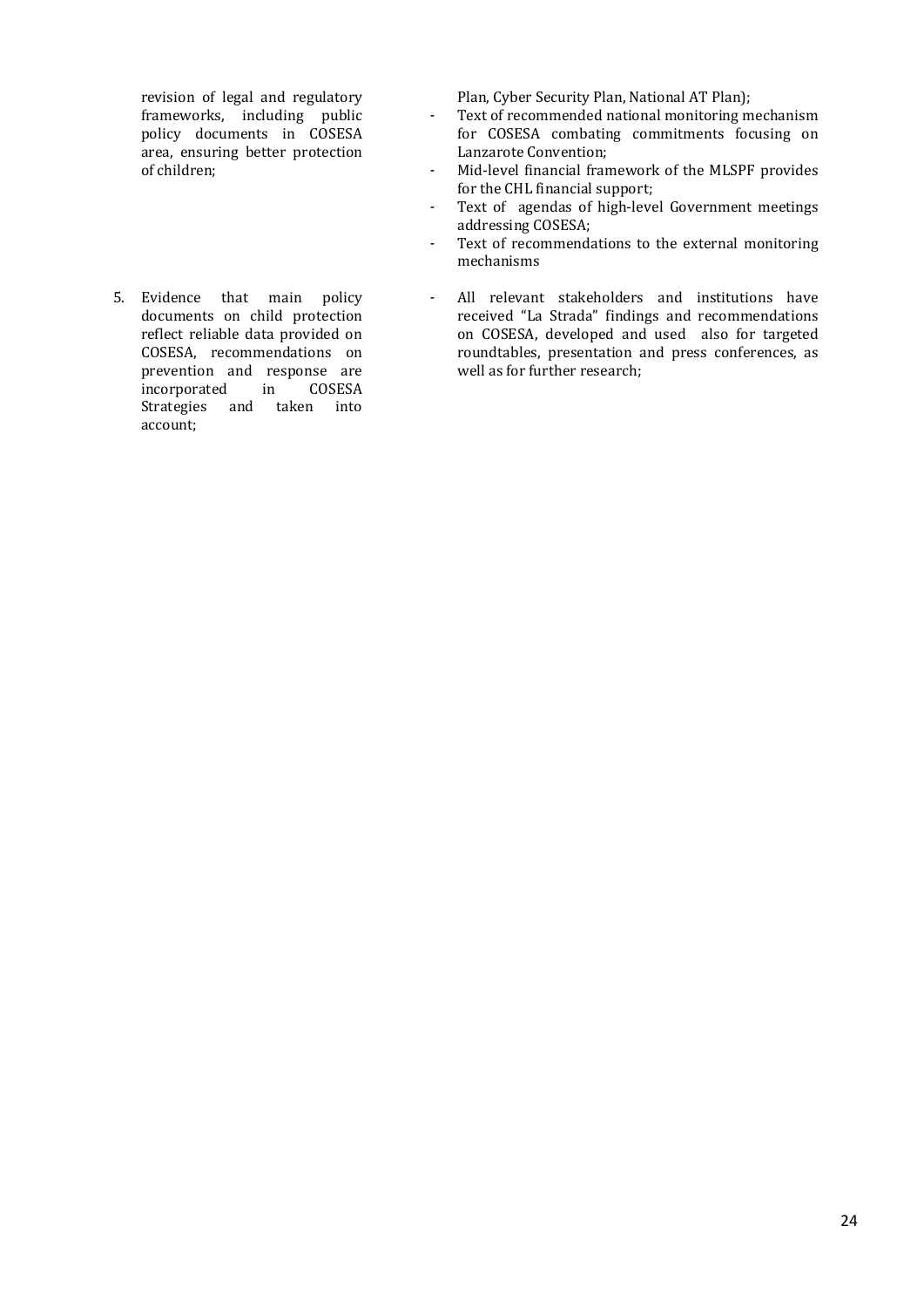revision of legal and regulatory frameworks, including public policy documents in COSESA area, ensuring better protection of children;

5. Evidence that main policy documents on child protection reflect reliable data provided on COSESA, recommendations on prevention and response are incorporated in COSESA Strategies and taken into account;

Plan, Cyber Security Plan, National AT Plan);

- Text of recommended national monitoring mechanism for COSESA combating commitments focusing on Lanzarote Convention;
- Mid-level financial framework of the MLSPF provides for the CHL financial support;
- Text of agendas of high-level Government meetings addressing COSESA;
- Text of recommendations to the external monitoring mechanisms
- All relevant stakeholders and institutions have received "La Strada" findings and recommendations on COSESA, developed and used also for targeted roundtables, presentation and press conferences, as well as for further research;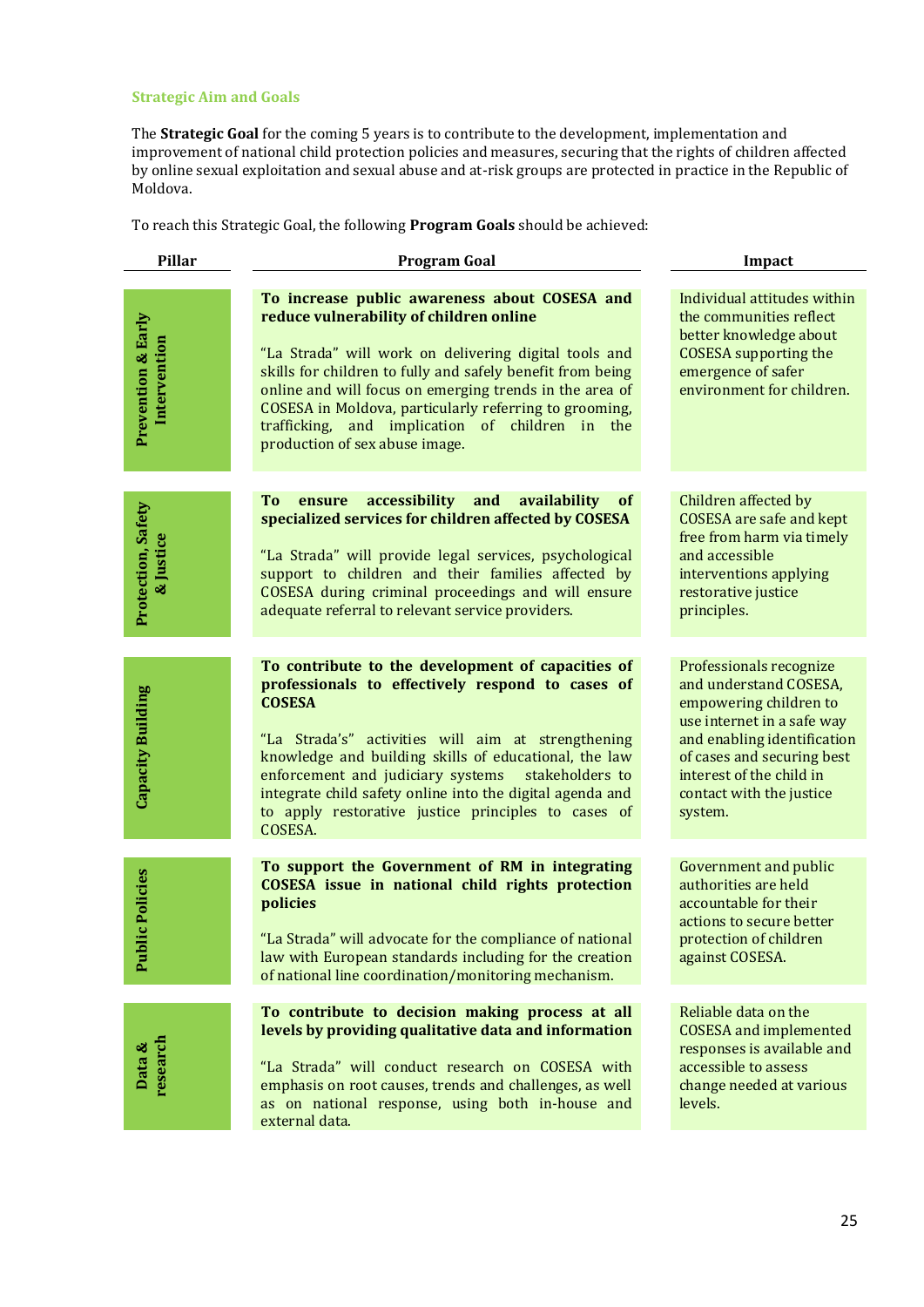## **Strategic Aim and Goals**

The **Strategic Goal** for the coming 5 years is to contribute to the development, implementation and improvement of national child protection policies and measures, securing that the rights of children affected by online sexual exploitation and sexual abuse and at-risk groups are protected in practice in the Republic of Moldova.

To reach this Strategic Goal, the following **Program Goals** should be achieved:

| <b>Pillar</b>                                 | <b>Program Goal</b>                                                                                                                                                                                                                                                                                                                                                                                                          | Impact                                                                                                                                                                                                                                    |  |
|-----------------------------------------------|------------------------------------------------------------------------------------------------------------------------------------------------------------------------------------------------------------------------------------------------------------------------------------------------------------------------------------------------------------------------------------------------------------------------------|-------------------------------------------------------------------------------------------------------------------------------------------------------------------------------------------------------------------------------------------|--|
| <b>Prevention &amp; Early</b><br>Intervention | To increase public awareness about COSESA and<br>reduce vulnerability of children online<br>"La Strada" will work on delivering digital tools and<br>skills for children to fully and safely benefit from being<br>online and will focus on emerging trends in the area of<br>COSESA in Moldova, particularly referring to grooming,<br>trafficking, and implication of children in<br>the<br>production of sex abuse image. | Individual attitudes within<br>the communities reflect<br>better knowledge about<br><b>COSESA</b> supporting the<br>emergence of safer<br>environment for children.                                                                       |  |
|                                               | accessibility and<br><b>To</b><br>availability<br><b>of</b><br>ensure                                                                                                                                                                                                                                                                                                                                                        | Children affected by                                                                                                                                                                                                                      |  |
| Protection, Safety<br>& Justice               | specialized services for children affected by COSESA<br>"La Strada" will provide legal services, psychological<br>support to children and their families affected by                                                                                                                                                                                                                                                         | <b>COSESA</b> are safe and kept<br>free from harm via timely<br>and accessible<br>interventions applying                                                                                                                                  |  |
|                                               | COSESA during criminal proceedings and will ensure<br>adequate referral to relevant service providers.                                                                                                                                                                                                                                                                                                                       | restorative justice<br>principles.                                                                                                                                                                                                        |  |
|                                               |                                                                                                                                                                                                                                                                                                                                                                                                                              |                                                                                                                                                                                                                                           |  |
| Capacity Building                             | To contribute to the development of capacities of<br>professionals to effectively respond to cases of<br><b>COSESA</b><br>"La Strada's" activities will aim at strengthening<br>knowledge and building skills of educational, the law<br>enforcement and judiciary systems<br>stakeholders to<br>integrate child safety online into the digital agenda and<br>to apply restorative justice principles to cases of<br>COSESA. | Professionals recognize<br>and understand COSESA,<br>empowering children to<br>use internet in a safe way<br>and enabling identification<br>of cases and securing best<br>interest of the child in<br>contact with the justice<br>system. |  |
| lic Policies                                  | To support the Government of RM in integrating<br><b>COSESA</b> issue in national child rights protection<br>policies                                                                                                                                                                                                                                                                                                        | Government and public<br>authorities are held<br>accountable for their<br>actions to secure better                                                                                                                                        |  |
| Pub <sup>1</sup>                              | "La Strada" will advocate for the compliance of national<br>law with European standards including for the creation<br>of national line coordination/monitoring mechanism.                                                                                                                                                                                                                                                    | protection of children<br>against COSESA.                                                                                                                                                                                                 |  |
|                                               | To contribute to decision making process at all                                                                                                                                                                                                                                                                                                                                                                              | Reliable data on the                                                                                                                                                                                                                      |  |
| Data &<br>research                            | levels by providing qualitative data and information<br>"La Strada" will conduct research on COSESA with<br>emphasis on root causes, trends and challenges, as well<br>as on national response, using both in-house and<br>external data.                                                                                                                                                                                    | <b>COSESA</b> and implemented<br>responses is available and<br>accessible to assess<br>change needed at various<br>levels.                                                                                                                |  |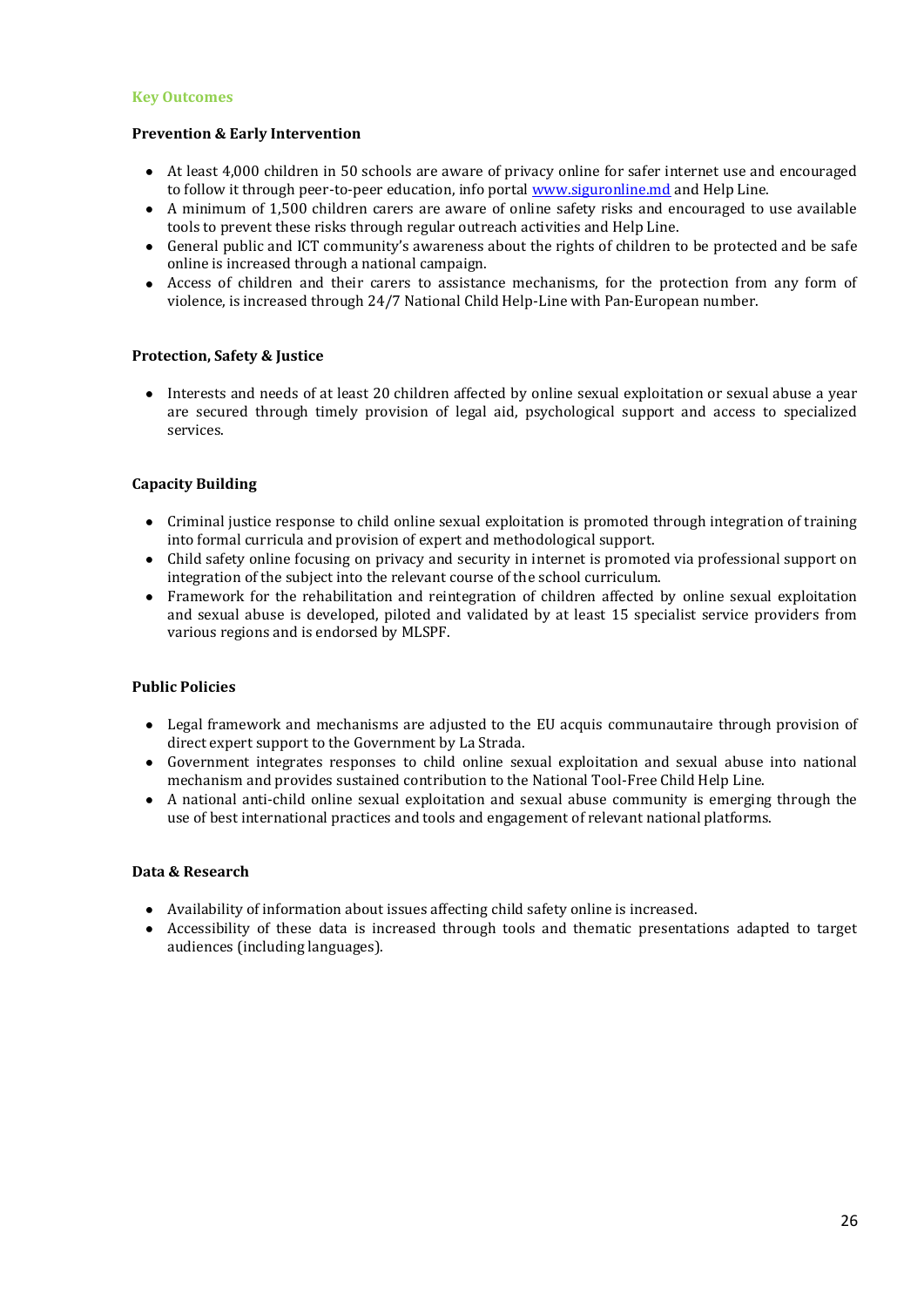#### **Key Outcomes**

#### **Prevention & Early Intervention**

- At least 4,000 children in 50 schools are aware of privacy online for safer internet use and encouraged to follow it through peer-to-peer education, info portal [www.siguronline.md](http://www.siguronline.md/) and Help Line.
- A minimum of 1,500 children carers are aware of online safety risks and encouraged to use available tools to prevent these risks through regular outreach activities and Help Line.
- General public and ICT community's awareness about the rights of children to be protected and be safe  $\bullet$ online is increased through a national campaign.
- Access of children and their carers to assistance mechanisms, for the protection from any form of violence, is increased through 24/7 National Child Help-Line with Pan-European number.

## **Protection, Safety & Justice**

Interests and needs of at least 20 children affected by online sexual exploitation or sexual abuse a year are secured through timely provision of legal aid, psychological support and access to specialized services.

## **Capacity Building**

- Criminal justice response to child online sexual exploitation is promoted through integration of training into formal curricula and provision of expert and methodological support.
- Child safety online focusing on privacy and security in internet is promoted via professional support on integration of the subject into the relevant course of the school curriculum.
- Framework for the rehabilitation and reintegration of children affected by online sexual exploitation and sexual abuse is developed, piloted and validated by at least 15 specialist service providers from various regions and is endorsed by MLSPF.

#### **Public Policies**

- Legal framework and mechanisms are adjusted to the EU acquis communautaire through provision of direct expert support to the Government by La Strada.
- Government integrates responses to child online sexual exploitation and sexual abuse into national mechanism and provides sustained contribution to the National Tool-Free Child Help Line.
- A national anti-child online sexual exploitation and sexual abuse community is emerging through the use of best international practices and tools and engagement of relevant national platforms.

#### **Data & Research**

- Availability of information about issues affecting child safety online is increased.
- Accessibility of these data is increased through tools and thematic presentations adapted to target audiences (including languages).